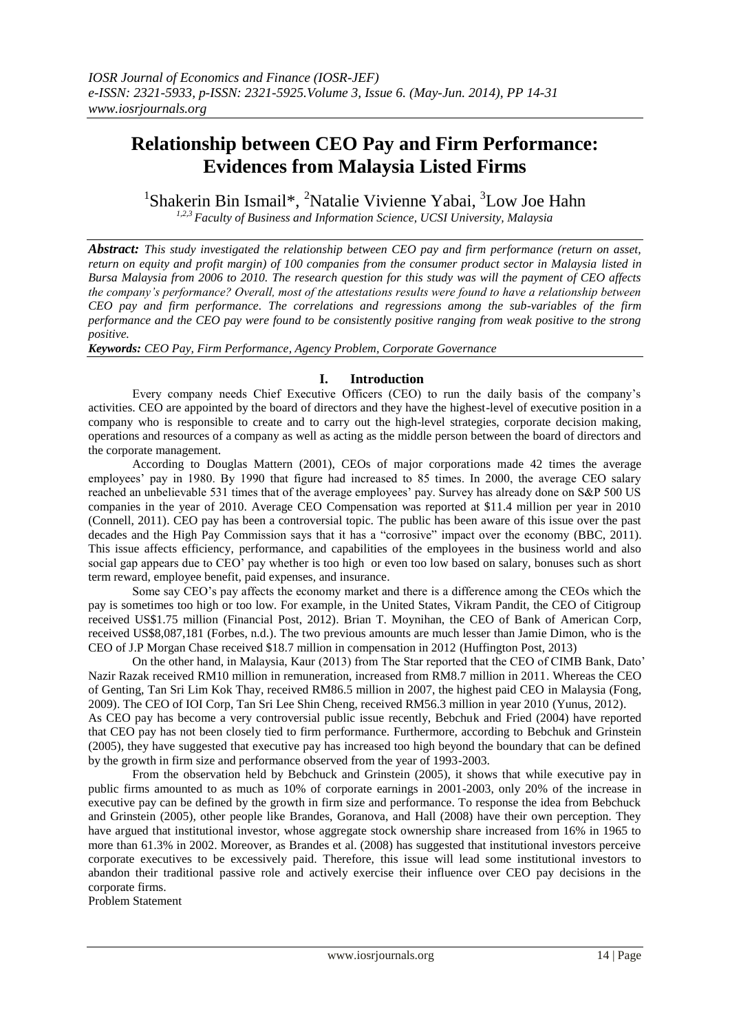# **Relationship between CEO Pay and Firm Performance: Evidences from Malaysia Listed Firms**

<sup>1</sup>Shakerin Bin Ismail\*, <sup>2</sup>Natalie Vivienne Yabai, <sup>3</sup>Low Joe Hahn

*1,2,3 Faculty of Business and Information Science, UCSI University, Malaysia*

*Abstract: This study investigated the relationship between CEO pay and firm performance (return on asset, return on equity and profit margin) of 100 companies from the consumer product sector in Malaysia listed in Bursa Malaysia from 2006 to 2010. The research question for this study was will the payment of CEO affects the company's performance? Overall, most of the attestations results were found to have a relationship between CEO pay and firm performance. The correlations and regressions among the sub-variables of the firm performance and the CEO pay were found to be consistently positive ranging from weak positive to the strong positive.*

*Keywords: CEO Pay, Firm Performance, Agency Problem, Corporate Governance*

# **I. Introduction**

Every company needs Chief Executive Officers (CEO) to run the daily basis of the company"s activities. CEO are appointed by the board of directors and they have the highest-level of executive position in a company who is responsible to create and to carry out the high-level strategies, corporate decision making, operations and resources of a company as well as acting as the middle person between the board of directors and the corporate management.

According to Douglas Mattern (2001), CEOs of major corporations made 42 times the average employees" pay in 1980. By 1990 that figure had increased to 85 times. In 2000, the average CEO salary reached an unbelievable 531 times that of the average employees' pay. Survey has already done on S&P 500 US companies in the year of 2010. Average CEO Compensation was reported at \$11.4 million per year in 2010 (Connell, 2011). CEO pay has been a controversial topic. The public has been aware of this issue over the past decades and the High Pay Commission says that it has a "corrosive" impact over the economy (BBC, 2011). This issue affects efficiency, performance, and capabilities of the employees in the business world and also social gap appears due to CEO' pay whether is too high or even too low based on salary, bonuses such as short term reward, employee benefit, paid expenses, and insurance.

Some say CEO"s pay affects the economy market and there is a difference among the CEOs which the pay is sometimes too high or too low. For example, in the United States, Vikram Pandit, the CEO of Citigroup received US\$1.75 million (Financial Post, 2012). Brian T. Moynihan, the CEO of Bank of American Corp, received US\$8,087,181 (Forbes, n.d.). The two previous amounts are much lesser than Jamie Dimon, who is the CEO of J.P Morgan Chase received \$18.7 million in compensation in 2012 (Huffington Post, 2013)

On the other hand, in Malaysia, Kaur (2013) from The Star reported that the CEO of CIMB Bank, Dato" Nazir Razak received RM10 million in remuneration, increased from RM8.7 million in 2011. Whereas the CEO of Genting, Tan Sri Lim Kok Thay, received RM86.5 million in 2007, the highest paid CEO in Malaysia (Fong, 2009). The CEO of IOI Corp, Tan Sri Lee Shin Cheng, received RM56.3 million in year 2010 (Yunus, 2012). As CEO pay has become a very controversial public issue recently, Bebchuk and Fried (2004) have reported that CEO pay has not been closely tied to firm performance. Furthermore, according to Bebchuk and Grinstein (2005), they have suggested that executive pay has increased too high beyond the boundary that can be defined by the growth in firm size and performance observed from the year of 1993-2003.

From the observation held by Bebchuck and Grinstein (2005), it shows that while executive pay in public firms amounted to as much as 10% of corporate earnings in 2001-2003, only 20% of the increase in executive pay can be defined by the growth in firm size and performance. To response the idea from Bebchuck and Grinstein (2005), other people like Brandes, Goranova, and Hall (2008) have their own perception. They have argued that institutional investor, whose aggregate stock ownership share increased from 16% in 1965 to more than 61.3% in 2002. Moreover, as Brandes et al. (2008) has suggested that institutional investors perceive corporate executives to be excessively paid. Therefore, this issue will lead some institutional investors to abandon their traditional passive role and actively exercise their influence over CEO pay decisions in the corporate firms.

Problem Statement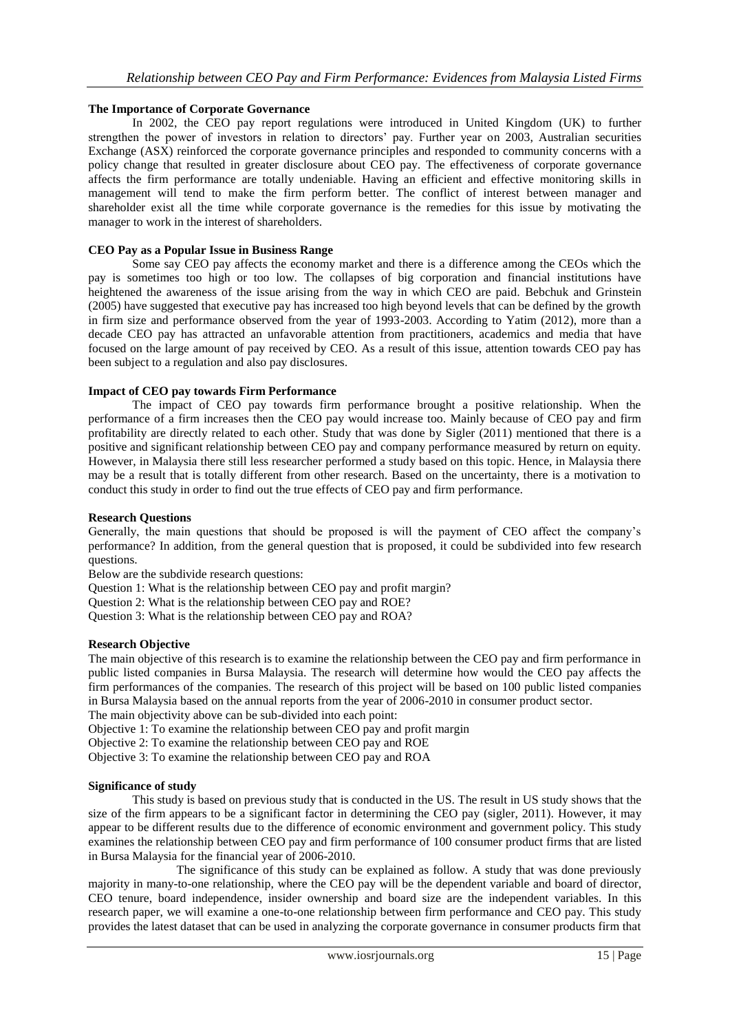## **The Importance of Corporate Governance**

In 2002, the CEO pay report regulations were introduced in United Kingdom (UK) to further strengthen the power of investors in relation to directors' pay. Further year on 2003, Australian securities Exchange (ASX) reinforced the corporate governance principles and responded to community concerns with a policy change that resulted in greater disclosure about CEO pay. The effectiveness of corporate governance affects the firm performance are totally undeniable. Having an efficient and effective monitoring skills in management will tend to make the firm perform better. The conflict of interest between manager and shareholder exist all the time while corporate governance is the remedies for this issue by motivating the manager to work in the interest of shareholders.

### **CEO Pay as a Popular Issue in Business Range**

Some say CEO pay affects the economy market and there is a difference among the CEOs which the pay is sometimes too high or too low. The collapses of big corporation and financial institutions have heightened the awareness of the issue arising from the way in which CEO are paid. Bebchuk and Grinstein (2005) have suggested that executive pay has increased too high beyond levels that can be defined by the growth in firm size and performance observed from the year of 1993-2003. According to Yatim (2012), more than a decade CEO pay has attracted an unfavorable attention from practitioners, academics and media that have focused on the large amount of pay received by CEO. As a result of this issue, attention towards CEO pay has been subject to a regulation and also pay disclosures.

### **Impact of CEO pay towards Firm Performance**

The impact of CEO pay towards firm performance brought a positive relationship. When the performance of a firm increases then the CEO pay would increase too. Mainly because of CEO pay and firm profitability are directly related to each other. Study that was done by Sigler (2011) mentioned that there is a positive and significant relationship between CEO pay and company performance measured by return on equity. However, in Malaysia there still less researcher performed a study based on this topic. Hence, in Malaysia there may be a result that is totally different from other research. Based on the uncertainty, there is a motivation to conduct this study in order to find out the true effects of CEO pay and firm performance.

#### **Research Questions**

Generally, the main questions that should be proposed is will the payment of CEO affect the company"s performance? In addition, from the general question that is proposed, it could be subdivided into few research questions.

Below are the subdivide research questions:

Question 1: What is the relationship between CEO pay and profit margin?

Question 2: What is the relationship between CEO pay and ROE?

Question 3: What is the relationship between CEO pay and ROA?

#### **Research Objective**

The main objective of this research is to examine the relationship between the CEO pay and firm performance in public listed companies in Bursa Malaysia. The research will determine how would the CEO pay affects the firm performances of the companies. The research of this project will be based on 100 public listed companies in Bursa Malaysia based on the annual reports from the year of 2006-2010 in consumer product sector. The main objectivity above can be sub-divided into each point:

Objective 1: To examine the relationship between CEO pay and profit margin

Objective 2: To examine the relationship between CEO pay and ROE Objective 3: To examine the relationship between CEO pay and ROA

# **Significance of study**

This study is based on previous study that is conducted in the US. The result in US study shows that the size of the firm appears to be a significant factor in determining the CEO pay (sigler, 2011). However, it may appear to be different results due to the difference of economic environment and government policy. This study examines the relationship between CEO pay and firm performance of 100 consumer product firms that are listed in Bursa Malaysia for the financial year of 2006-2010.

The significance of this study can be explained as follow. A study that was done previously majority in many-to-one relationship, where the CEO pay will be the dependent variable and board of director, CEO tenure, board independence, insider ownership and board size are the independent variables. In this research paper, we will examine a one-to-one relationship between firm performance and CEO pay. This study provides the latest dataset that can be used in analyzing the corporate governance in consumer products firm that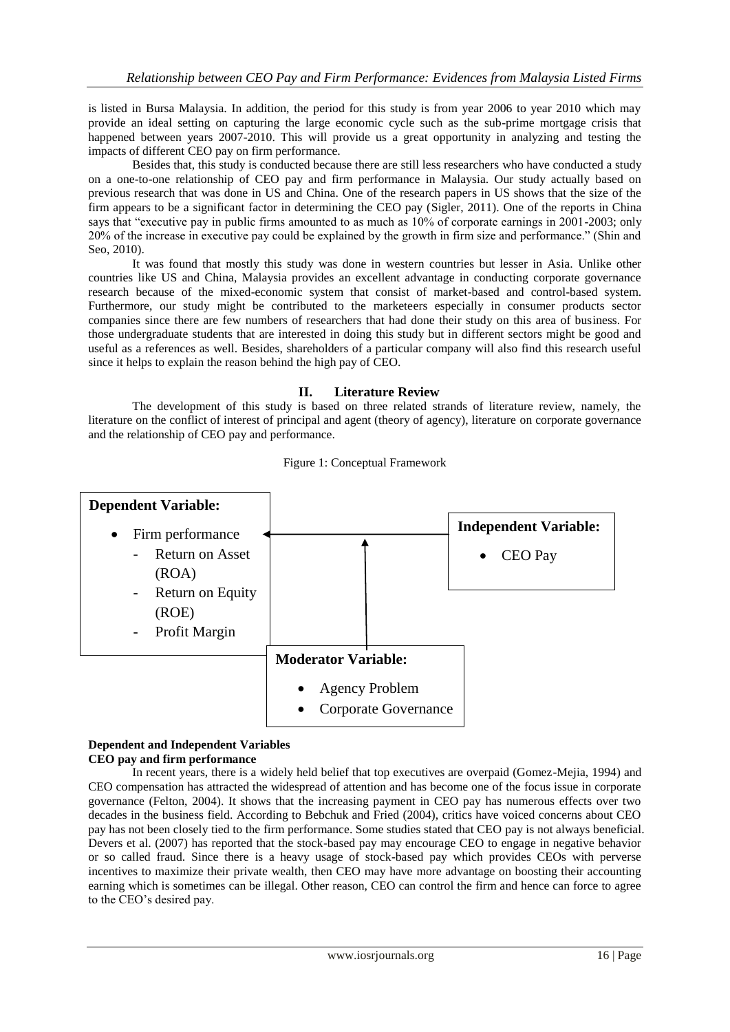is listed in Bursa Malaysia. In addition, the period for this study is from year 2006 to year 2010 which may provide an ideal setting on capturing the large economic cycle such as the sub-prime mortgage crisis that happened between years 2007-2010. This will provide us a great opportunity in analyzing and testing the impacts of different CEO pay on firm performance.

Besides that, this study is conducted because there are still less researchers who have conducted a study on a one-to-one relationship of CEO pay and firm performance in Malaysia. Our study actually based on previous research that was done in US and China. One of the research papers in US shows that the size of the firm appears to be a significant factor in determining the CEO pay (Sigler, 2011). One of the reports in China says that "executive pay in public firms amounted to as much as 10% of corporate earnings in 2001-2003; only 20% of the increase in executive pay could be explained by the growth in firm size and performance." (Shin and Seo, 2010).

It was found that mostly this study was done in western countries but lesser in Asia. Unlike other countries like US and China, Malaysia provides an excellent advantage in conducting corporate governance research because of the mixed-economic system that consist of market-based and control-based system. Furthermore, our study might be contributed to the marketeers especially in consumer products sector companies since there are few numbers of researchers that had done their study on this area of business. For those undergraduate students that are interested in doing this study but in different sectors might be good and useful as a references as well. Besides, shareholders of a particular company will also find this research useful since it helps to explain the reason behind the high pay of CEO.

## **II. Literature Review**

The development of this study is based on three related strands of literature review, namely, the literature on the conflict of interest of principal and agent (theory of agency), literature on corporate governance and the relationship of CEO pay and performance.



#### Figure 1: Conceptual Framework

### **Dependent and Independent Variables CEO pay and firm performance**

In recent years, there is a widely held belief that top executives are overpaid (Gomez-Mejia, 1994) and CEO compensation has attracted the widespread of attention and has become one of the focus issue in corporate governance (Felton, 2004). It shows that the increasing payment in CEO pay has numerous effects over two decades in the business field. According to Bebchuk and Fried (2004), critics have voiced concerns about CEO pay has not been closely tied to the firm performance. Some studies stated that CEO pay is not always beneficial. Devers et al. (2007) has reported that the stock-based pay may encourage CEO to engage in negative behavior or so called fraud. Since there is a heavy usage of stock-based pay which provides CEOs with perverse incentives to maximize their private wealth, then CEO may have more advantage on boosting their accounting earning which is sometimes can be illegal. Other reason, CEO can control the firm and hence can force to agree to the CEO"s desired pay.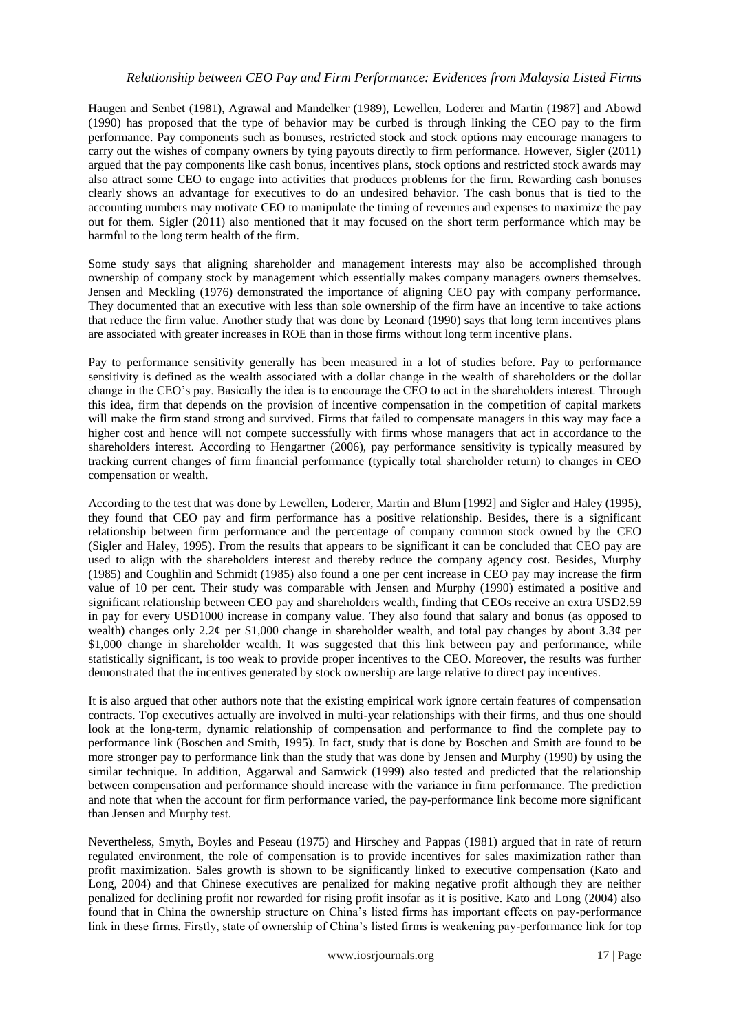Haugen and Senbet (1981), Agrawal and Mandelker (1989), Lewellen, Loderer and Martin (1987] and Abowd (1990) has proposed that the type of behavior may be curbed is through linking the CEO pay to the firm performance. Pay components such as bonuses, restricted stock and stock options may encourage managers to carry out the wishes of company owners by tying payouts directly to firm performance. However, Sigler (2011) argued that the pay components like cash bonus, incentives plans, stock options and restricted stock awards may also attract some CEO to engage into activities that produces problems for the firm. Rewarding cash bonuses clearly shows an advantage for executives to do an undesired behavior. The cash bonus that is tied to the accounting numbers may motivate CEO to manipulate the timing of revenues and expenses to maximize the pay out for them. Sigler (2011) also mentioned that it may focused on the short term performance which may be harmful to the long term health of the firm.

Some study says that aligning shareholder and management interests may also be accomplished through ownership of company stock by management which essentially makes company managers owners themselves. Jensen and Meckling (1976) demonstrated the importance of aligning CEO pay with company performance. They documented that an executive with less than sole ownership of the firm have an incentive to take actions that reduce the firm value. Another study that was done by Leonard (1990) says that long term incentives plans are associated with greater increases in ROE than in those firms without long term incentive plans.

Pay to performance sensitivity generally has been measured in a lot of studies before. Pay to performance sensitivity is defined as the wealth associated with a dollar change in the wealth of shareholders or the dollar change in the CEO"s pay. Basically the idea is to encourage the CEO to act in the shareholders interest. Through this idea, firm that depends on the provision of incentive compensation in the competition of capital markets will make the firm stand strong and survived. Firms that failed to compensate managers in this way may face a higher cost and hence will not compete successfully with firms whose managers that act in accordance to the shareholders interest. According to Hengartner (2006), pay performance sensitivity is typically measured by tracking current changes of firm financial performance (typically total shareholder return) to changes in CEO compensation or wealth.

According to the test that was done by Lewellen, Loderer, Martin and Blum [1992] and Sigler and Haley (1995), they found that CEO pay and firm performance has a positive relationship. Besides, there is a significant relationship between firm performance and the percentage of company common stock owned by the CEO (Sigler and Haley, 1995). From the results that appears to be significant it can be concluded that CEO pay are used to align with the shareholders interest and thereby reduce the company agency cost. Besides, Murphy (1985) and Coughlin and Schmidt (1985) also found a one per cent increase in CEO pay may increase the firm value of 10 per cent. Their study was comparable with Jensen and Murphy (1990) estimated a positive and significant relationship between CEO pay and shareholders wealth, finding that CEOs receive an extra USD2.59 in pay for every USD1000 increase in company value. They also found that salary and bonus (as opposed to wealth) changes only 2.2¢ per \$1,000 change in shareholder wealth, and total pay changes by about 3.3¢ per \$1,000 change in shareholder wealth. It was suggested that this link between pay and performance, while statistically significant, is too weak to provide proper incentives to the CEO. Moreover, the results was further demonstrated that the incentives generated by stock ownership are large relative to direct pay incentives.

It is also argued that other authors note that the existing empirical work ignore certain features of compensation contracts. Top executives actually are involved in multi-year relationships with their firms, and thus one should look at the long-term, dynamic relationship of compensation and performance to find the complete pay to performance link (Boschen and Smith, 1995). In fact, study that is done by Boschen and Smith are found to be more stronger pay to performance link than the study that was done by Jensen and Murphy (1990) by using the similar technique. In addition, Aggarwal and Samwick (1999) also tested and predicted that the relationship between compensation and performance should increase with the variance in firm performance. The prediction and note that when the account for firm performance varied, the pay-performance link become more significant than Jensen and Murphy test.

Nevertheless, Smyth, Boyles and Peseau (1975) and Hirschey and Pappas (1981) argued that in rate of return regulated environment, the role of compensation is to provide incentives for sales maximization rather than profit maximization. Sales growth is shown to be significantly linked to executive compensation (Kato and Long, 2004) and that Chinese executives are penalized for making negative profit although they are neither penalized for declining profit nor rewarded for rising profit insofar as it is positive. Kato and Long (2004) also found that in China the ownership structure on China"s listed firms has important effects on pay-performance link in these firms. Firstly, state of ownership of China"s listed firms is weakening pay-performance link for top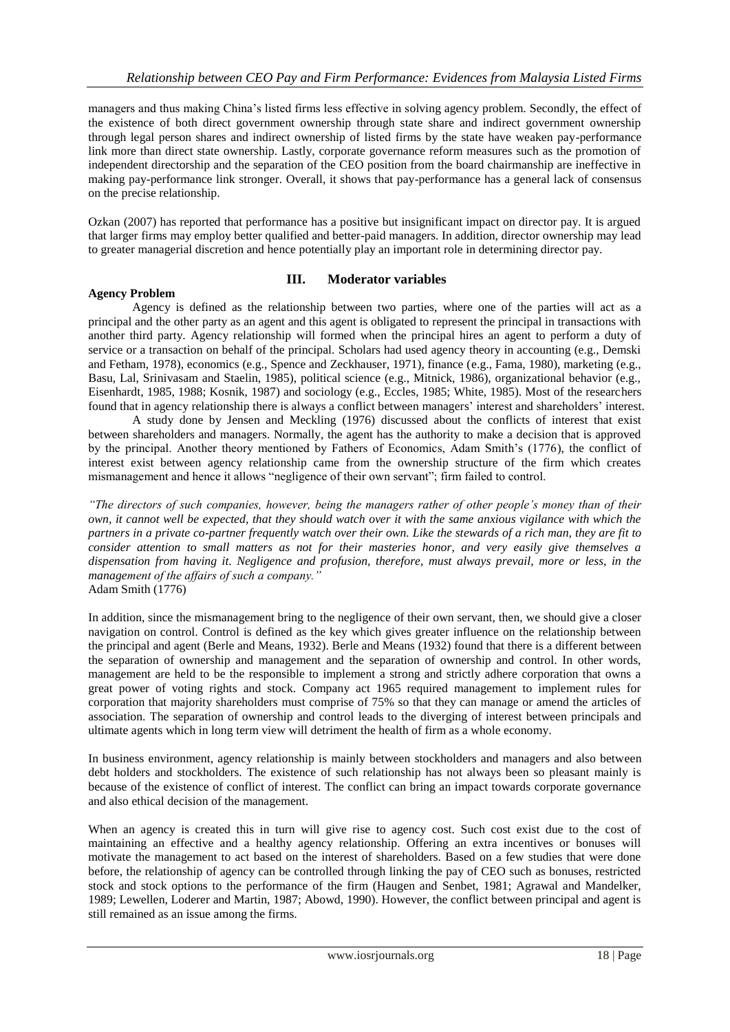managers and thus making China"s listed firms less effective in solving agency problem. Secondly, the effect of the existence of both direct government ownership through state share and indirect government ownership through legal person shares and indirect ownership of listed firms by the state have weaken pay-performance link more than direct state ownership. Lastly, corporate governance reform measures such as the promotion of independent directorship and the separation of the CEO position from the board chairmanship are ineffective in making pay-performance link stronger. Overall, it shows that pay-performance has a general lack of consensus on the precise relationship.

Ozkan (2007) has reported that performance has a positive but insignificant impact on director pay. It is argued that larger firms may employ better qualified and better-paid managers. In addition, director ownership may lead to greater managerial discretion and hence potentially play an important role in determining director pay.

## **III. Moderator variables**

### **Agency Problem**

Agency is defined as the relationship between two parties, where one of the parties will act as a principal and the other party as an agent and this agent is obligated to represent the principal in transactions with another third party. Agency relationship will formed when the principal hires an agent to perform a duty of service or a transaction on behalf of the principal. Scholars had used agency theory in accounting (e.g., Demski and Fetham, 1978), economics (e.g., Spence and Zeckhauser, 1971), finance (e.g., Fama, 1980), marketing (e.g., Basu, Lal, Srinivasam and Staelin, 1985), political science (e.g., Mitnick, 1986), organizational behavior (e.g., Eisenhardt, 1985, 1988; Kosnik, 1987) and sociology (e.g., Eccles, 1985; White, 1985). Most of the researchers found that in agency relationship there is always a conflict between managers" interest and shareholders" interest.

A study done by Jensen and Meckling (1976) discussed about the conflicts of interest that exist between shareholders and managers. Normally, the agent has the authority to make a decision that is approved by the principal. Another theory mentioned by Fathers of Economics, Adam Smith's (1776), the conflict of interest exist between agency relationship came from the ownership structure of the firm which creates mismanagement and hence it allows "negligence of their own servant"; firm failed to control.

*"The directors of such companies, however, being the managers rather of other people's money than of their own, it cannot well be expected, that they should watch over it with the same anxious vigilance with which the partners in a private co-partner frequently watch over their own. Like the stewards of a rich man, they are fit to consider attention to small matters as not for their masteries honor, and very easily give themselves a dispensation from having it. Negligence and profusion, therefore, must always prevail, more or less, in the management of the affairs of such a company."*  Adam Smith (1776)

In addition, since the mismanagement bring to the negligence of their own servant, then, we should give a closer navigation on control. Control is defined as the key which gives greater influence on the relationship between the principal and agent (Berle and Means, 1932). Berle and Means (1932) found that there is a different between the separation of ownership and management and the separation of ownership and control. In other words, management are held to be the responsible to implement a strong and strictly adhere corporation that owns a great power of voting rights and stock. Company act 1965 required management to implement rules for corporation that majority shareholders must comprise of 75% so that they can manage or amend the articles of association. The separation of ownership and control leads to the diverging of interest between principals and ultimate agents which in long term view will detriment the health of firm as a whole economy.

In business environment, agency relationship is mainly between stockholders and managers and also between debt holders and stockholders. The existence of such relationship has not always been so pleasant mainly is because of the existence of conflict of interest. The conflict can bring an impact towards corporate governance and also ethical decision of the management.

When an agency is created this in turn will give rise to agency cost. Such cost exist due to the cost of maintaining an effective and a healthy agency relationship. Offering an extra incentives or bonuses will motivate the management to act based on the interest of shareholders. Based on a few studies that were done before, the relationship of agency can be controlled through linking the pay of CEO such as bonuses, restricted stock and stock options to the performance of the firm (Haugen and Senbet, 1981; Agrawal and Mandelker, 1989; Lewellen, Loderer and Martin, 1987; Abowd, 1990). However, the conflict between principal and agent is still remained as an issue among the firms.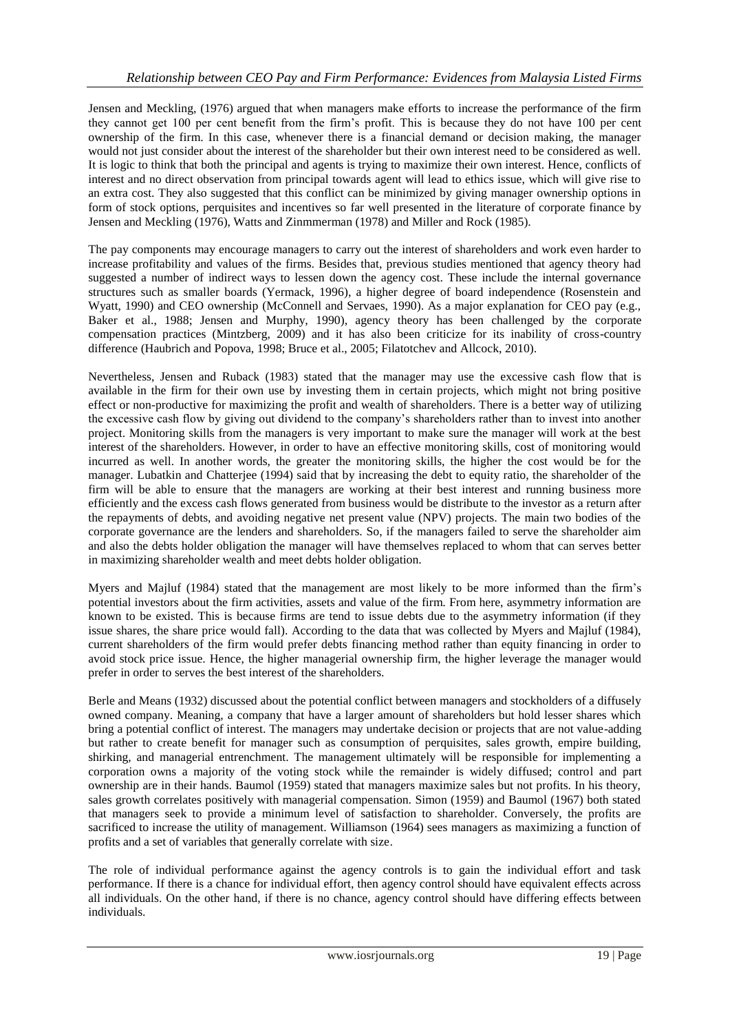Jensen and Meckling, (1976) argued that when managers make efforts to increase the performance of the firm they cannot get 100 per cent benefit from the firm"s profit. This is because they do not have 100 per cent ownership of the firm. In this case, whenever there is a financial demand or decision making, the manager would not just consider about the interest of the shareholder but their own interest need to be considered as well. It is logic to think that both the principal and agents is trying to maximize their own interest. Hence, conflicts of interest and no direct observation from principal towards agent will lead to ethics issue, which will give rise to an extra cost. They also suggested that this conflict can be minimized by giving manager ownership options in form of stock options, perquisites and incentives so far well presented in the literature of corporate finance by Jensen and Meckling (1976), Watts and Zinmmerman (1978) and Miller and Rock (1985).

The pay components may encourage managers to carry out the interest of shareholders and work even harder to increase profitability and values of the firms. Besides that, previous studies mentioned that agency theory had suggested a number of indirect ways to lessen down the agency cost. These include the internal governance structures such as smaller boards (Yermack, 1996), a higher degree of board independence (Rosenstein and Wyatt, 1990) and CEO ownership (McConnell and Servaes, 1990). As a major explanation for CEO pay (e.g., Baker et al., 1988; Jensen and Murphy, 1990), agency theory has been challenged by the corporate compensation practices (Mintzberg, 2009) and it has also been criticize for its inability of cross-country difference (Haubrich and Popova, 1998; Bruce et al., 2005; Filatotchev and Allcock, 2010).

Nevertheless, Jensen and Ruback (1983) stated that the manager may use the excessive cash flow that is available in the firm for their own use by investing them in certain projects, which might not bring positive effect or non-productive for maximizing the profit and wealth of shareholders. There is a better way of utilizing the excessive cash flow by giving out dividend to the company"s shareholders rather than to invest into another project. Monitoring skills from the managers is very important to make sure the manager will work at the best interest of the shareholders. However, in order to have an effective monitoring skills, cost of monitoring would incurred as well. In another words, the greater the monitoring skills, the higher the cost would be for the manager. Lubatkin and Chatterjee (1994) said that by increasing the debt to equity ratio, the shareholder of the firm will be able to ensure that the managers are working at their best interest and running business more efficiently and the excess cash flows generated from business would be distribute to the investor as a return after the repayments of debts, and avoiding negative net present value (NPV) projects. The main two bodies of the corporate governance are the lenders and shareholders. So, if the managers failed to serve the shareholder aim and also the debts holder obligation the manager will have themselves replaced to whom that can serves better in maximizing shareholder wealth and meet debts holder obligation.

Myers and Majluf (1984) stated that the management are most likely to be more informed than the firm"s potential investors about the firm activities, assets and value of the firm. From here, asymmetry information are known to be existed. This is because firms are tend to issue debts due to the asymmetry information (if they issue shares, the share price would fall). According to the data that was collected by Myers and Majluf (1984), current shareholders of the firm would prefer debts financing method rather than equity financing in order to avoid stock price issue. Hence, the higher managerial ownership firm, the higher leverage the manager would prefer in order to serves the best interest of the shareholders.

Berle and Means (1932) discussed about the potential conflict between managers and stockholders of a diffusely owned company. Meaning, a company that have a larger amount of shareholders but hold lesser shares which bring a potential conflict of interest. The managers may undertake decision or projects that are not value-adding but rather to create benefit for manager such as consumption of perquisites, sales growth, empire building, shirking, and managerial entrenchment. The management ultimately will be responsible for implementing a corporation owns a majority of the voting stock while the remainder is widely diffused; control and part ownership are in their hands. Baumol (1959) stated that managers maximize sales but not profits. In his theory, sales growth correlates positively with managerial compensation. Simon (1959) and Baumol (1967) both stated that managers seek to provide a minimum level of satisfaction to shareholder. Conversely, the profits are sacrificed to increase the utility of management. Williamson (1964) sees managers as maximizing a function of profits and a set of variables that generally correlate with size.

The role of individual performance against the agency controls is to gain the individual effort and task performance. If there is a chance for individual effort, then agency control should have equivalent effects across all individuals. On the other hand, if there is no chance, agency control should have differing effects between individuals.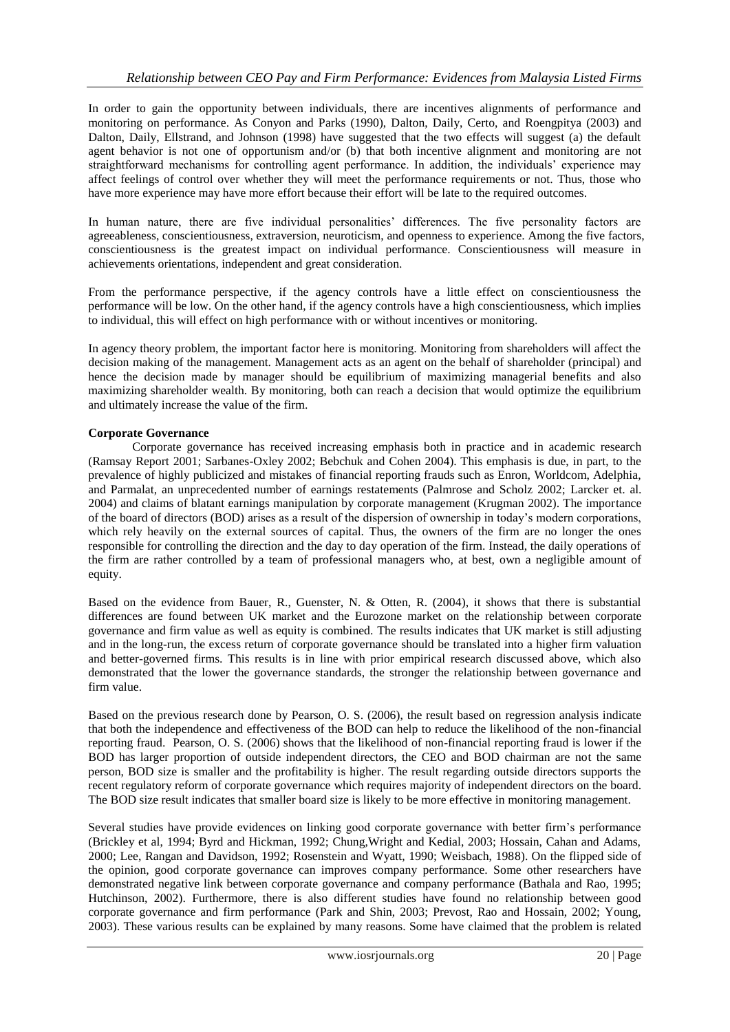In order to gain the opportunity between individuals, there are incentives alignments of performance and monitoring on performance. As Conyon and Parks (1990), Dalton, Daily, Certo, and Roengpitya (2003) and Dalton, Daily, Ellstrand, and Johnson (1998) have suggested that the two effects will suggest (a) the default agent behavior is not one of opportunism and/or (b) that both incentive alignment and monitoring are not straightforward mechanisms for controlling agent performance. In addition, the individuals" experience may affect feelings of control over whether they will meet the performance requirements or not. Thus, those who have more experience may have more effort because their effort will be late to the required outcomes.

In human nature, there are five individual personalities' differences. The five personality factors are agreeableness, conscientiousness, extraversion, neuroticism, and openness to experience. Among the five factors, conscientiousness is the greatest impact on individual performance. Conscientiousness will measure in achievements orientations, independent and great consideration.

From the performance perspective, if the agency controls have a little effect on conscientiousness the performance will be low. On the other hand, if the agency controls have a high conscientiousness, which implies to individual, this will effect on high performance with or without incentives or monitoring.

In agency theory problem, the important factor here is monitoring. Monitoring from shareholders will affect the decision making of the management. Management acts as an agent on the behalf of shareholder (principal) and hence the decision made by manager should be equilibrium of maximizing managerial benefits and also maximizing shareholder wealth. By monitoring, both can reach a decision that would optimize the equilibrium and ultimately increase the value of the firm.

### **Corporate Governance**

Corporate governance has received increasing emphasis both in practice and in academic research (Ramsay Report 2001; Sarbanes-Oxley 2002; Bebchuk and Cohen 2004). This emphasis is due, in part, to the prevalence of highly publicized and mistakes of financial reporting frauds such as Enron, Worldcom, Adelphia, and Parmalat, an unprecedented number of earnings restatements (Palmrose and Scholz 2002; Larcker et. al. 2004) and claims of blatant earnings manipulation by corporate management (Krugman 2002). The importance of the board of directors (BOD) arises as a result of the dispersion of ownership in today"s modern corporations, which rely heavily on the external sources of capital. Thus, the owners of the firm are no longer the ones responsible for controlling the direction and the day to day operation of the firm. Instead, the daily operations of the firm are rather controlled by a team of professional managers who, at best, own a negligible amount of equity.

Based on the evidence from Bauer, R., Guenster, N. & Otten, R. (2004), it shows that there is substantial differences are found between UK market and the Eurozone market on the relationship between corporate governance and firm value as well as equity is combined. The results indicates that UK market is still adjusting and in the long-run, the excess return of corporate governance should be translated into a higher firm valuation and better-governed firms. This results is in line with prior empirical research discussed above, which also demonstrated that the lower the governance standards, the stronger the relationship between governance and firm value.

Based on the previous research done by Pearson, O. S. (2006), the result based on regression analysis indicate that both the independence and effectiveness of the BOD can help to reduce the likelihood of the non-financial reporting fraud. Pearson, O. S. (2006) shows that the likelihood of non-financial reporting fraud is lower if the BOD has larger proportion of outside independent directors, the CEO and BOD chairman are not the same person, BOD size is smaller and the profitability is higher. The result regarding outside directors supports the recent regulatory reform of corporate governance which requires majority of independent directors on the board. The BOD size result indicates that smaller board size is likely to be more effective in monitoring management.

Several studies have provide evidences on linking good corporate governance with better firm"s performance (Brickley et al, 1994; Byrd and Hickman, 1992; Chung,Wright and Kedial, 2003; Hossain, Cahan and Adams, 2000; Lee, Rangan and Davidson, 1992; Rosenstein and Wyatt, 1990; Weisbach, 1988). On the flipped side of the opinion, good corporate governance can improves company performance. Some other researchers have demonstrated negative link between corporate governance and company performance (Bathala and Rao, 1995; Hutchinson, 2002). Furthermore, there is also different studies have found no relationship between good corporate governance and firm performance (Park and Shin, 2003; Prevost, Rao and Hossain, 2002; Young, 2003). These various results can be explained by many reasons. Some have claimed that the problem is related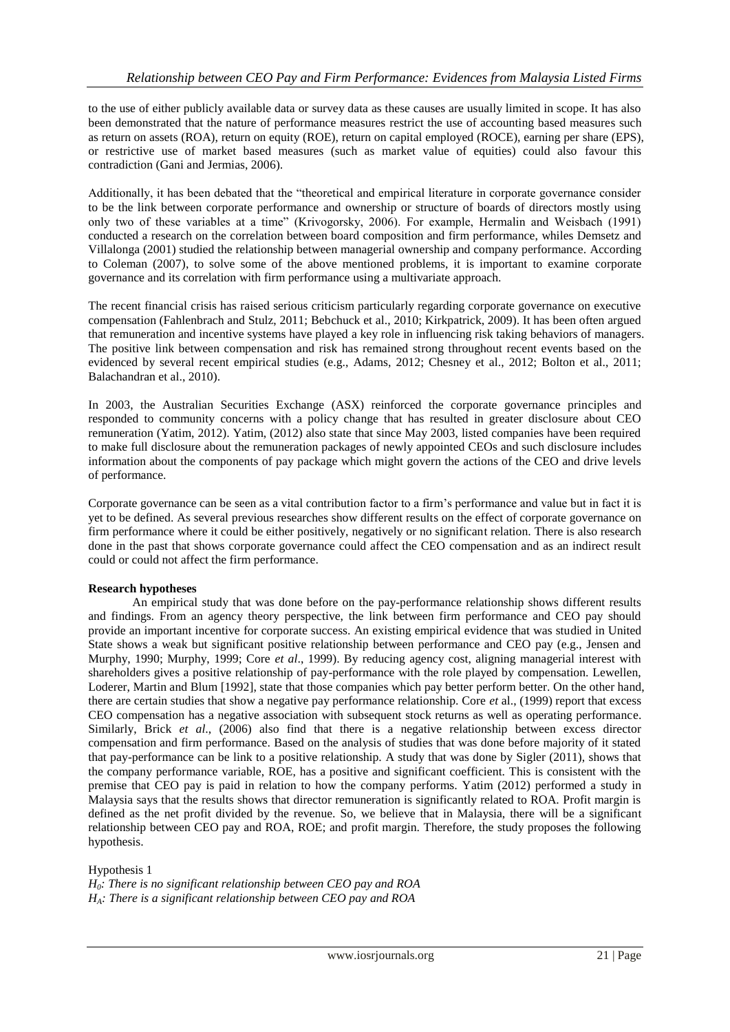to the use of either publicly available data or survey data as these causes are usually limited in scope. It has also been demonstrated that the nature of performance measures restrict the use of accounting based measures such as return on assets (ROA), return on equity (ROE), return on capital employed (ROCE), earning per share (EPS), or restrictive use of market based measures (such as market value of equities) could also favour this contradiction (Gani and Jermias, 2006).

Additionally, it has been debated that the "theoretical and empirical literature in corporate governance consider to be the link between corporate performance and ownership or structure of boards of directors mostly using only two of these variables at a time" (Krivogorsky, 2006). For example, Hermalin and Weisbach (1991) conducted a research on the correlation between board composition and firm performance, whiles Demsetz and Villalonga (2001) studied the relationship between managerial ownership and company performance. According to Coleman (2007), to solve some of the above mentioned problems, it is important to examine corporate governance and its correlation with firm performance using a multivariate approach.

The recent financial crisis has raised serious criticism particularly regarding corporate governance on executive compensation (Fahlenbrach and Stulz, 2011; Bebchuck et al., 2010; Kirkpatrick, 2009). It has been often argued that remuneration and incentive systems have played a key role in influencing risk taking behaviors of managers. The positive link between compensation and risk has remained strong throughout recent events based on the evidenced by several recent empirical studies (e.g., Adams, 2012; Chesney et al., 2012; Bolton et al., 2011; Balachandran et al., 2010).

In 2003, the Australian Securities Exchange (ASX) reinforced the corporate governance principles and responded to community concerns with a policy change that has resulted in greater disclosure about CEO remuneration (Yatim, 2012). Yatim, (2012) also state that since May 2003, listed companies have been required to make full disclosure about the remuneration packages of newly appointed CEOs and such disclosure includes information about the components of pay package which might govern the actions of the CEO and drive levels of performance.

Corporate governance can be seen as a vital contribution factor to a firm"s performance and value but in fact it is yet to be defined. As several previous researches show different results on the effect of corporate governance on firm performance where it could be either positively, negatively or no significant relation. There is also research done in the past that shows corporate governance could affect the CEO compensation and as an indirect result could or could not affect the firm performance.

## **Research hypotheses**

An empirical study that was done before on the pay-performance relationship shows different results and findings. From an agency theory perspective, the link between firm performance and CEO pay should provide an important incentive for corporate success. An existing empirical evidence that was studied in United State shows a weak but significant positive relationship between performance and CEO pay (e.g., Jensen and Murphy, 1990; Murphy, 1999; Core *et al*., 1999). By reducing agency cost, aligning managerial interest with shareholders gives a positive relationship of pay-performance with the role played by compensation. Lewellen, Loderer, Martin and Blum [1992], state that those companies which pay better perform better. On the other hand, there are certain studies that show a negative pay performance relationship. Core *et* al., (1999) report that excess CEO compensation has a negative association with subsequent stock returns as well as operating performance. Similarly, Brick *et al*., (2006) also find that there is a negative relationship between excess director compensation and firm performance. Based on the analysis of studies that was done before majority of it stated that pay-performance can be link to a positive relationship. A study that was done by Sigler (2011), shows that the company performance variable, ROE, has a positive and significant coefficient. This is consistent with the premise that CEO pay is paid in relation to how the company performs. Yatim (2012) performed a study in Malaysia says that the results shows that director remuneration is significantly related to ROA. Profit margin is defined as the net profit divided by the revenue. So, we believe that in Malaysia, there will be a significant relationship between CEO pay and ROA, ROE; and profit margin. Therefore, the study proposes the following hypothesis.

Hypothesis 1 *H0: There is no significant relationship between CEO pay and ROA HA: There is a significant relationship between CEO pay and ROA*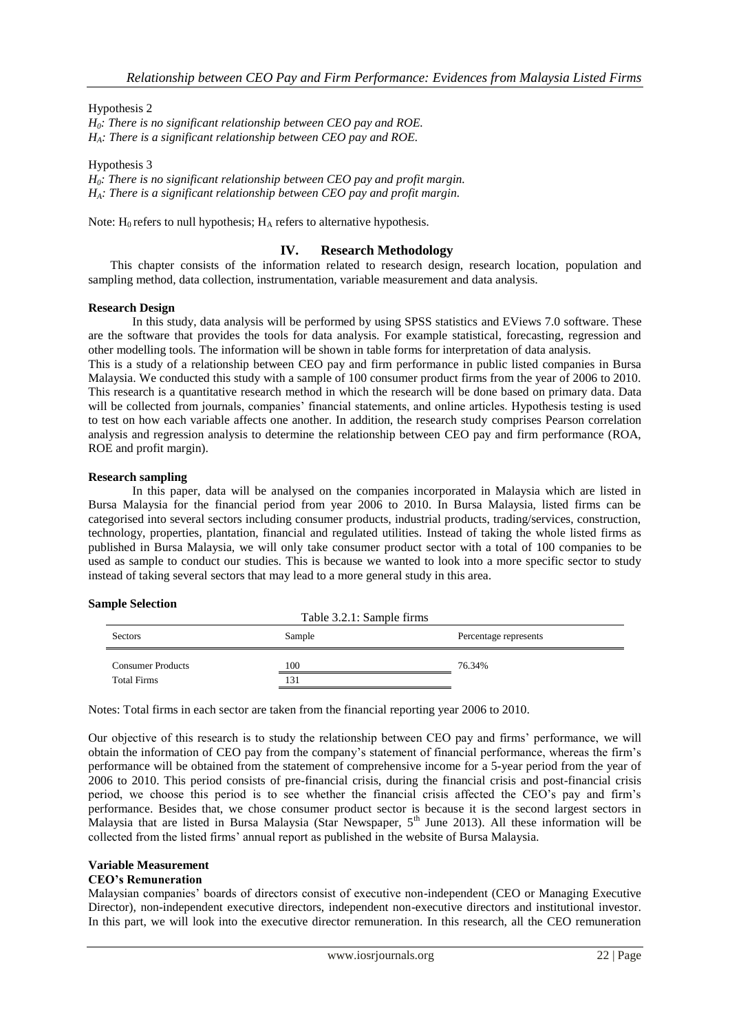Hypothesis 2 *H0: There is no significant relationship between CEO pay and ROE. HA: There is a significant relationship between CEO pay and ROE.*

Hypothesis 3 *H0: There is no significant relationship between CEO pay and profit margin. HA: There is a significant relationship between CEO pay and profit margin.*

Note:  $H_0$  refers to null hypothesis;  $H_A$  refers to alternative hypothesis.

## **IV. Research Methodology**

This chapter consists of the information related to research design, research location, population and sampling method, data collection, instrumentation, variable measurement and data analysis.

#### **Research Design**

In this study, data analysis will be performed by using SPSS statistics and EViews 7.0 software. These are the software that provides the tools for data analysis. For example statistical, forecasting, regression and other modelling tools. The information will be shown in table forms for interpretation of data analysis.

This is a study of a relationship between CEO pay and firm performance in public listed companies in Bursa Malaysia. We conducted this study with a sample of 100 consumer product firms from the year of 2006 to 2010. This research is a quantitative research method in which the research will be done based on primary data. Data will be collected from journals, companies' financial statements, and online articles. Hypothesis testing is used to test on how each variable affects one another. In addition, the research study comprises Pearson correlation analysis and regression analysis to determine the relationship between CEO pay and firm performance (ROA, ROE and profit margin).

#### **Research sampling**

In this paper, data will be analysed on the companies incorporated in Malaysia which are listed in Bursa Malaysia for the financial period from year 2006 to 2010. In Bursa Malaysia, listed firms can be categorised into several sectors including consumer products, industrial products, trading/services, construction, technology, properties, plantation, financial and regulated utilities. Instead of taking the whole listed firms as published in Bursa Malaysia, we will only take consumer product sector with a total of 100 companies to be used as sample to conduct our studies. This is because we wanted to look into a more specific sector to study instead of taking several sectors that may lead to a more general study in this area.

#### **Sample Selection**

| Table 3.2.1: Sample firms |        |                       |  |  |  |
|---------------------------|--------|-----------------------|--|--|--|
| Sectors                   | Sample | Percentage represents |  |  |  |
| <b>Consumer Products</b>  | 100    | 76.34%                |  |  |  |
| <b>Total Firms</b>        | 131    |                       |  |  |  |

Notes: Total firms in each sector are taken from the financial reporting year 2006 to 2010.

Our objective of this research is to study the relationship between CEO pay and firms" performance, we will obtain the information of CEO pay from the company"s statement of financial performance, whereas the firm"s performance will be obtained from the statement of comprehensive income for a 5-year period from the year of 2006 to 2010. This period consists of pre-financial crisis, during the financial crisis and post-financial crisis period, we choose this period is to see whether the financial crisis affected the CEO"s pay and firm"s performance. Besides that, we chose consumer product sector is because it is the second largest sectors in Malaysia that are listed in Bursa Malaysia (Star Newspaper,  $5<sup>th</sup>$  June 2013). All these information will be collected from the listed firms" annual report as published in the website of Bursa Malaysia.

## **Variable Measurement**

#### **CEO's Remuneration**

Malaysian companies" boards of directors consist of executive non-independent (CEO or Managing Executive Director), non-independent executive directors, independent non-executive directors and institutional investor. In this part, we will look into the executive director remuneration. In this research, all the CEO remuneration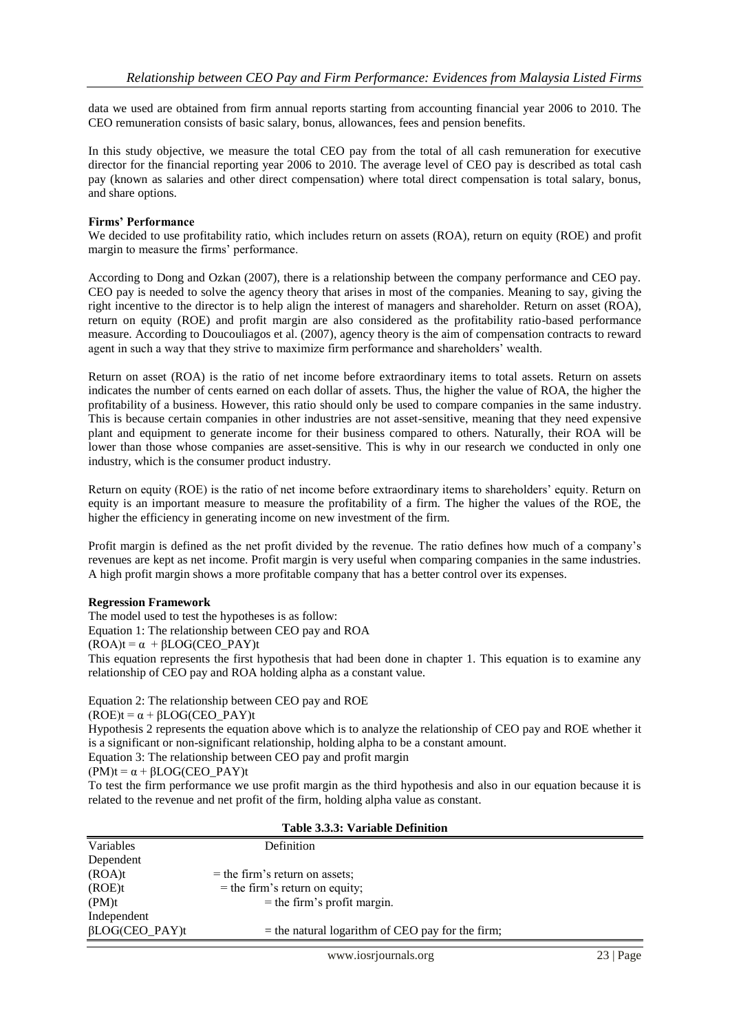data we used are obtained from firm annual reports starting from accounting financial year 2006 to 2010. The CEO remuneration consists of basic salary, bonus, allowances, fees and pension benefits.

In this study objective, we measure the total CEO pay from the total of all cash remuneration for executive director for the financial reporting year 2006 to 2010. The average level of CEO pay is described as total cash pay (known as salaries and other direct compensation) where total direct compensation is total salary, bonus, and share options.

#### **Firms' Performance**

We decided to use profitability ratio, which includes return on assets (ROA), return on equity (ROE) and profit margin to measure the firms' performance.

According to Dong and Ozkan (2007), there is a relationship between the company performance and CEO pay. CEO pay is needed to solve the agency theory that arises in most of the companies. Meaning to say, giving the right incentive to the director is to help align the interest of managers and shareholder. Return on asset (ROA), return on equity (ROE) and profit margin are also considered as the profitability ratio-based performance measure. According to Doucouliagos et al. (2007), agency theory is the aim of compensation contracts to reward agent in such a way that they strive to maximize firm performance and shareholders" wealth.

Return on asset (ROA) is the ratio of net income before extraordinary items to total assets. Return on assets indicates the number of cents earned on each dollar of assets. Thus, the higher the value of ROA, the higher the profitability of a business. However, this ratio should only be used to compare companies in the same industry. This is because certain companies in other industries are not asset-sensitive, meaning that they need expensive plant and equipment to generate income for their business compared to others. Naturally, their ROA will be lower than those whose companies are asset-sensitive. This is why in our research we conducted in only one industry, which is the consumer product industry.

Return on equity (ROE) is the ratio of net income before extraordinary items to shareholders' equity. Return on equity is an important measure to measure the profitability of a firm. The higher the values of the ROE, the higher the efficiency in generating income on new investment of the firm.

Profit margin is defined as the net profit divided by the revenue. The ratio defines how much of a company"s revenues are kept as net income. Profit margin is very useful when comparing companies in the same industries. A high profit margin shows a more profitable company that has a better control over its expenses.

#### **Regression Framework**

The model used to test the hypotheses is as follow:

Equation 1: The relationship between CEO pay and ROA

 $(ROA)t = \alpha + \beta LOG(CEO PAY)t$ 

This equation represents the first hypothesis that had been done in chapter 1. This equation is to examine any relationship of CEO pay and ROA holding alpha as a constant value.

Equation 2: The relationship between CEO pay and ROE

 $(ROE)t = \alpha + \beta LOG(CEO_PAY)t$ 

Hypothesis 2 represents the equation above which is to analyze the relationship of CEO pay and ROE whether it is a significant or non-significant relationship, holding alpha to be a constant amount.

Equation 3: The relationship between CEO pay and profit margin

 $(PM)t = \alpha + \beta LOG(CEO PAY)t$ 

To test the firm performance we use profit margin as the third hypothesis and also in our equation because it is related to the revenue and net profit of the firm, holding alpha value as constant.

| Table 3.3.3: Variable Definition |                                                    |  |  |  |
|----------------------------------|----------------------------------------------------|--|--|--|
| Variables                        | Definition                                         |  |  |  |
| Dependent                        |                                                    |  |  |  |
| (ROA)t                           | $=$ the firm's return on assets;                   |  |  |  |
| (ROE)t                           | $=$ the firm's return on equity;                   |  |  |  |
| (PM)t                            | $=$ the firm's profit margin.                      |  |  |  |
| Independent                      |                                                    |  |  |  |
| $\beta$ LOG(CEO_PAY)t            | $=$ the natural logarithm of CEO pay for the firm; |  |  |  |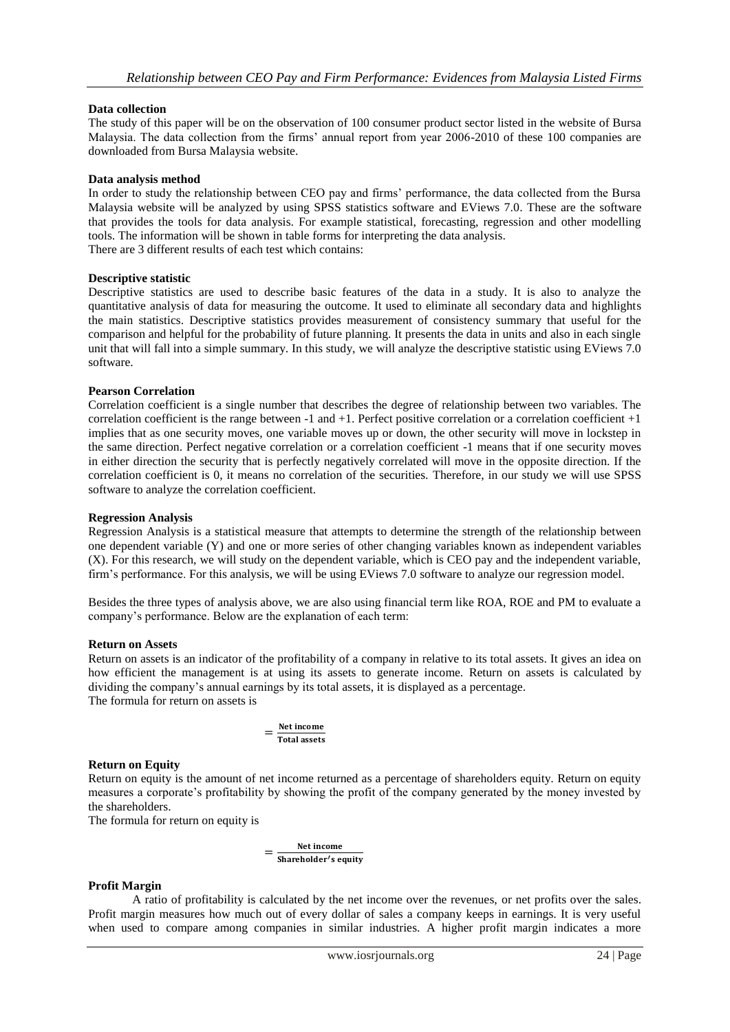#### **Data collection**

The study of this paper will be on the observation of 100 consumer product sector listed in the website of Bursa Malaysia. The data collection from the firms" annual report from year 2006-2010 of these 100 companies are downloaded from Bursa Malaysia website.

#### **Data analysis method**

In order to study the relationship between CEO pay and firms" performance, the data collected from the Bursa Malaysia website will be analyzed by using SPSS statistics software and EViews 7.0. These are the software that provides the tools for data analysis. For example statistical, forecasting, regression and other modelling tools. The information will be shown in table forms for interpreting the data analysis. There are 3 different results of each test which contains:

### **Descriptive statistic**

Descriptive statistics are used to describe basic features of the data in a study. It is also to analyze the quantitative analysis of data for measuring the outcome. It used to eliminate all secondary data and highlights the main statistics. Descriptive statistics provides measurement of consistency summary that useful for the comparison and helpful for the probability of future planning. It presents the data in units and also in each single unit that will fall into a simple summary. In this study, we will analyze the descriptive statistic using EViews 7.0 software.

#### **Pearson Correlation**

Correlation coefficient is a single number that describes the degree of relationship between two variables. The correlation coefficient is the range between -1 and +1. Perfect positive correlation or a correlation coefficient +1 implies that as one security moves, one variable moves up or down, the other security will move in lockstep in the same direction. Perfect negative correlation or a correlation coefficient -1 means that if one security moves in either direction the security that is perfectly negatively correlated will move in the opposite direction. If the correlation coefficient is 0, it means no correlation of the securities. Therefore, in our study we will use SPSS software to analyze the correlation coefficient.

#### **Regression Analysis**

Regression Analysis is a statistical measure that attempts to determine the strength of the relationship between one dependent variable (Y) and one or more series of other changing variables known as independent variables (X). For this research, we will study on the dependent variable, which is CEO pay and the independent variable, firm"s performance. For this analysis, we will be using EViews 7.0 software to analyze our regression model.

Besides the three types of analysis above, we are also using financial term like ROA, ROE and PM to evaluate a company"s performance. Below are the explanation of each term:

#### **Return on Assets**

Return on assets is an indicator of the profitability of a company in relative to its total assets. It gives an idea on how efficient the management is at using its assets to generate income. Return on assets is calculated by dividing the company"s annual earnings by its total assets, it is displayed as a percentage. The formula for return on assets is

$$
=\frac{\text{Net income}}{\text{Total assets}}
$$

## **Return on Equity**

Return on equity is the amount of net income returned as a percentage of shareholders equity. Return on equity measures a corporate"s profitability by showing the profit of the company generated by the money invested by the shareholders.

The formula for return on equity is

$$
= \frac{\text{Net income}}{\text{Shareholder's equity}}
$$

#### **Profit Margin**

A ratio of profitability is calculated by the net income over the revenues, or net profits over the sales. Profit margin measures how much out of every dollar of sales a company keeps in earnings. It is very useful when used to compare among companies in similar industries. A higher profit margin indicates a more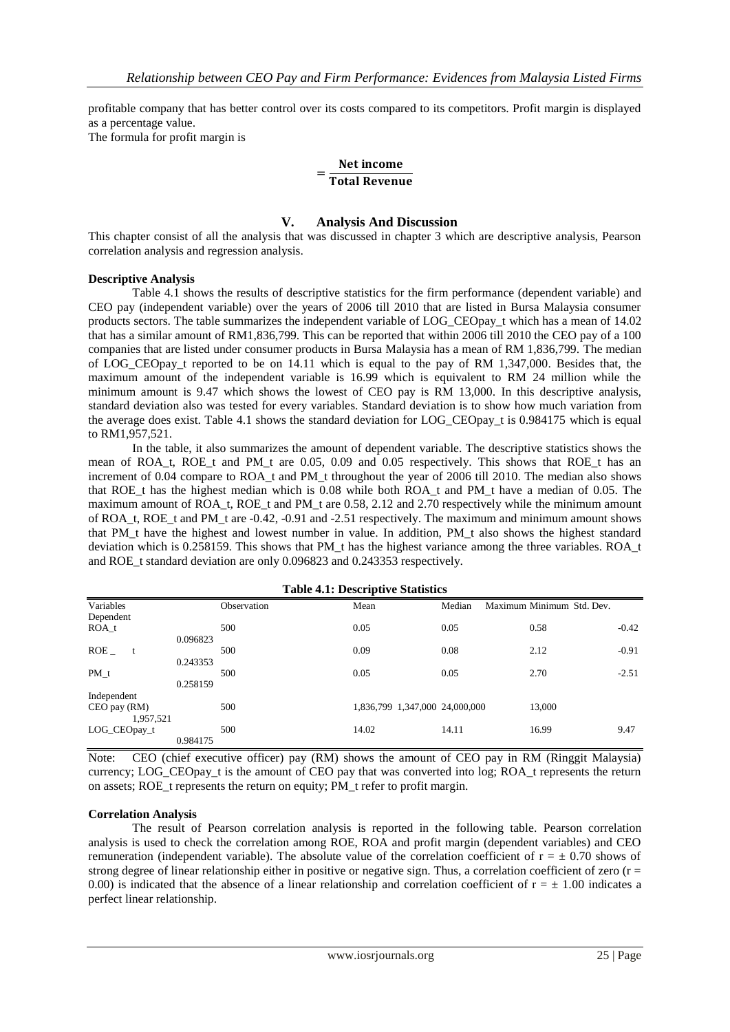profitable company that has better control over its costs compared to its competitors. Profit margin is displayed as a percentage value.

The formula for profit margin is

# $=\frac{1}{T}$ Net income

## **V. Analysis And Discussion**

This chapter consist of all the analysis that was discussed in chapter 3 which are descriptive analysis, Pearson correlation analysis and regression analysis.

#### **Descriptive Analysis**

Table 4.1 shows the results of descriptive statistics for the firm performance (dependent variable) and CEO pay (independent variable) over the years of 2006 till 2010 that are listed in Bursa Malaysia consumer products sectors. The table summarizes the independent variable of LOG\_CEOpay\_t which has a mean of 14.02 that has a similar amount of RM1,836,799. This can be reported that within 2006 till 2010 the CEO pay of a 100 companies that are listed under consumer products in Bursa Malaysia has a mean of RM 1,836,799. The median of LOG\_CEOpay\_t reported to be on 14.11 which is equal to the pay of RM 1,347,000. Besides that, the maximum amount of the independent variable is 16.99 which is equivalent to RM 24 million while the minimum amount is 9.47 which shows the lowest of CEO pay is RM 13,000. In this descriptive analysis, standard deviation also was tested for every variables. Standard deviation is to show how much variation from the average does exist. Table 4.1 shows the standard deviation for LOG\_CEOpay\_t is 0.984175 which is equal to RM1,957,521.

In the table, it also summarizes the amount of dependent variable. The descriptive statistics shows the mean of ROA<sub>t</sub>, ROE<sub>t</sub> and PM<sub>t</sub> are 0.05, 0.09 and 0.05 respectively. This shows that ROE<sub>t</sub> has an increment of 0.04 compare to ROA\_t and PM\_t throughout the year of 2006 till 2010. The median also shows that ROE<sub>t</sub> has the highest median which is 0.08 while both ROA<sub>t</sub> and PM<sub>t</sub> have a median of 0.05. The maximum amount of ROA\_t, ROE\_t and PM\_t are 0.58, 2.12 and 2.70 respectively while the minimum amount of ROA\_t, ROE\_t and PM\_t are -0.42, -0.91 and -2.51 respectively. The maximum and minimum amount shows that PM\_t have the highest and lowest number in value. In addition, PM\_t also shows the highest standard deviation which is 0.258159. This shows that PM t has the highest variance among the three variables. ROA<sub>t</sub> and ROE\_t standard deviation are only 0.096823 and 0.243353 respectively.

| <b>Table 4.1: Descriptive Statistics</b> |          |             |                                |        |                           |         |
|------------------------------------------|----------|-------------|--------------------------------|--------|---------------------------|---------|
| Variables                                |          | Observation | Mean                           | Median | Maximum Minimum Std. Dev. |         |
| Dependent                                |          |             |                                |        |                           |         |
| ROA t                                    |          | 500         | 0.05                           | 0.05   | 0.58                      | $-0.42$ |
|                                          | 0.096823 |             |                                |        |                           |         |
| ROE                                      |          | 500         | 0.09                           | 0.08   | 2.12                      | $-0.91$ |
|                                          | 0.243353 |             |                                |        |                           |         |
| PM t                                     |          | 500         | 0.05                           | 0.05   | 2.70                      | $-2.51$ |
|                                          | 0.258159 |             |                                |        |                           |         |
| Independent                              |          |             |                                |        |                           |         |
| CEO pay (RM)                             |          | 500         | 1,836,799 1,347,000 24,000,000 |        | 13,000                    |         |
| 1,957,521                                |          |             |                                |        |                           |         |
| LOG_CEOpay_t                             |          | 500         | 14.02                          | 14.11  | 16.99                     | 9.47    |
|                                          | 0.984175 |             |                                |        |                           |         |

Note: CEO (chief executive officer) pay (RM) shows the amount of CEO pay in RM (Ringgit Malaysia) currency; LOG\_CEOpay\_t is the amount of CEO pay that was converted into log; ROA\_t represents the return on assets; ROE\_t represents the return on equity; PM\_t refer to profit margin.

#### **Correlation Analysis**

The result of Pearson correlation analysis is reported in the following table. Pearson correlation analysis is used to check the correlation among ROE, ROA and profit margin (dependent variables) and CEO remuneration (independent variable). The absolute value of the correlation coefficient of  $r = \pm 0.70$  shows of strong degree of linear relationship either in positive or negative sign. Thus, a correlation coefficient of zero  $(r =$ 0.00) is indicated that the absence of a linear relationship and correlation coefficient of  $r = \pm 1.00$  indicates a perfect linear relationship.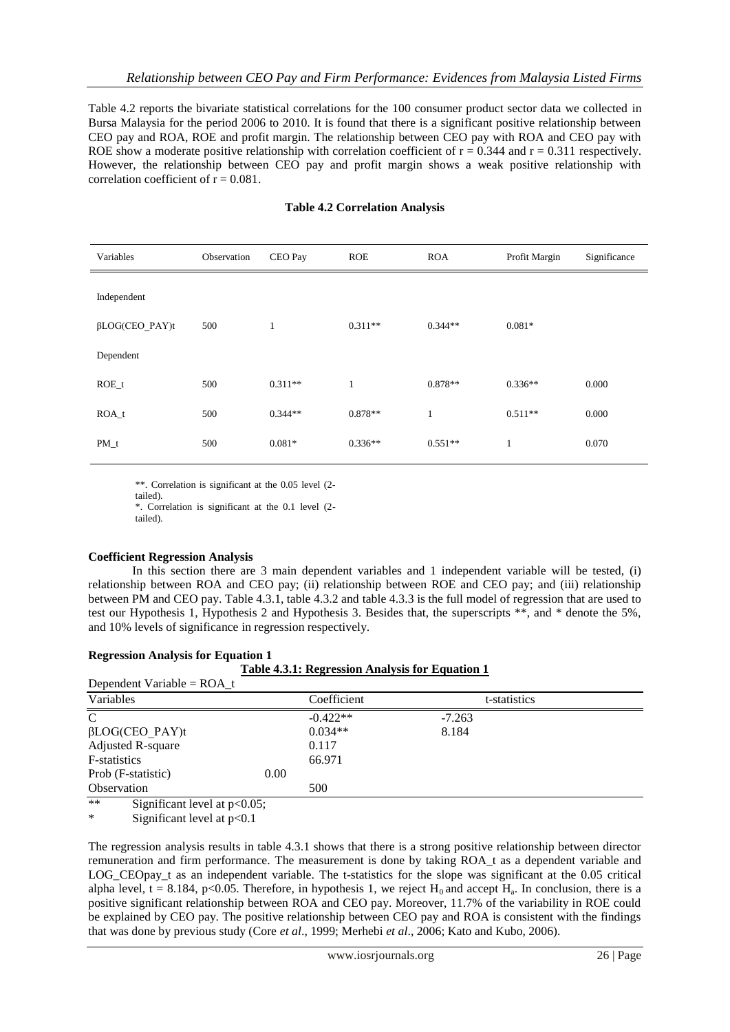Table 4.2 reports the bivariate statistical correlations for the 100 consumer product sector data we collected in Bursa Malaysia for the period 2006 to 2010. It is found that there is a significant positive relationship between CEO pay and ROA, ROE and profit margin. The relationship between CEO pay with ROA and CEO pay with ROE show a moderate positive relationship with correlation coefficient of  $r = 0.344$  and  $r = 0.311$  respectively. However, the relationship between CEO pay and profit margin shows a weak positive relationship with correlation coefficient of  $r = 0.081$ .

| Variables             | Observation | CEO Pay      | <b>ROE</b>   | <b>ROA</b> | Profit Margin | Significance |
|-----------------------|-------------|--------------|--------------|------------|---------------|--------------|
| Independent           |             |              |              |            |               |              |
| $\beta$ LOG(CEO_PAY)t | 500         | $\mathbf{1}$ | $0.311**$    | $0.344**$  | $0.081*$      |              |
| Dependent             |             |              |              |            |               |              |
| $ROE_t$               | 500         | $0.311**$    | $\mathbf{1}$ | $0.878**$  | $0.336**$     | 0.000        |
| $ROA_t$               | 500         | $0.344**$    | $0.878**$    | 1          | $0.511**$     | 0.000        |
| $PM_t$                | 500         | $0.081*$     | $0.336**$    | $0.551**$  | $\mathbf{1}$  | 0.070        |

#### **Table 4.2 Correlation Analysis**

\*\*. Correlation is significant at the 0.05 level (2-

tailed).

\*. Correlation is significant at the 0.1 level (2 tailed).

#### **Coefficient Regression Analysis**

In this section there are 3 main dependent variables and 1 independent variable will be tested, (i) relationship between ROA and CEO pay; (ii) relationship between ROE and CEO pay; and (iii) relationship between PM and CEO pay. Table 4.3.1, table 4.3.2 and table 4.3.3 is the full model of regression that are used to test our Hypothesis 1, Hypothesis 2 and Hypothesis 3. Besides that, the superscripts \*\*, and \* denote the 5%, and 10% levels of significance in regression respectively.

#### **Regression Analysis for Equation 1**

|                                         | <b>Table 4.3.1: Regression Analysis for Equation 1</b> |  |
|-----------------------------------------|--------------------------------------------------------|--|
| Donondont Vorichle - $D \cap \Lambda$ + |                                                        |  |

| $D$ C $D$ C $D$ C $D$ $C$ $D$ $D$ $T$ $T$ $T$ |      |             |              |  |
|-----------------------------------------------|------|-------------|--------------|--|
| Variables                                     |      | Coefficient | t-statistics |  |
| C                                             |      | $-0.422**$  | $-7.263$     |  |
| $\beta$ LOG(CEO PAY)t                         |      | $0.034**$   | 8.184        |  |
| Adjusted R-square                             |      | 0.117       |              |  |
| F-statistics                                  |      | 66.971      |              |  |
| Prob (F-statistic)                            | 0.00 |             |              |  |
| Observation                                   |      | 500         |              |  |
| $**$<br>Significant level at $p<0.05$ ;       |      |             |              |  |

Significant level at  $p<0.1$ 

The regression analysis results in table 4.3.1 shows that there is a strong positive relationship between director remuneration and firm performance. The measurement is done by taking ROA\_t as a dependent variable and LOG CEOpay t as an independent variable. The t-statistics for the slope was significant at the 0.05 critical alpha level,  $t = 8.184$ , p<0.05. Therefore, in hypothesis 1, we reject  $H_0$  and accept  $H_a$ . In conclusion, there is a positive significant relationship between ROA and CEO pay. Moreover, 11.7% of the variability in ROE could be explained by CEO pay. The positive relationship between CEO pay and ROA is consistent with the findings that was done by previous study (Core *et al*., 1999; Merhebi *et al*., 2006; Kato and Kubo, 2006).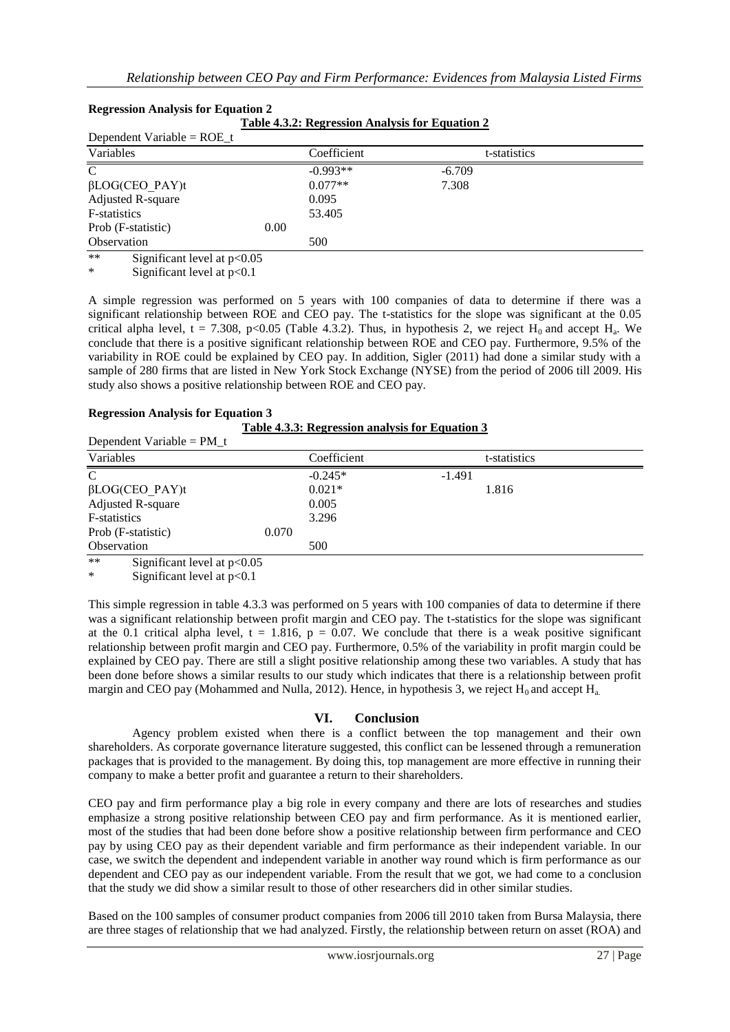| Dependent Variable = $ROE_t$          |      |             |              |  |
|---------------------------------------|------|-------------|--------------|--|
| Variables                             |      | Coefficient | t-statistics |  |
| C                                     |      | $-0.993**$  | $-6.709$     |  |
| $\beta$ LOG(CEO PAY)t                 |      | $0.077**$   | 7.308        |  |
| Adjusted R-square                     |      | 0.095       |              |  |
| F-statistics                          |      | 53.405      |              |  |
| Prob (F-statistic)                    | 0.00 |             |              |  |
| Observation                           |      | 500         |              |  |
| $**$<br>Significant level at $p<0.05$ |      |             |              |  |

#### **Regression Analysis for Equation 2 Table 4.3.2: Regression Analysis for Equation 2**

\* Significant level at p<0.1

A simple regression was performed on 5 years with 100 companies of data to determine if there was a significant relationship between ROE and CEO pay. The t-statistics for the slope was significant at the 0.05 critical alpha level,  $t = 7.308$ , p<0.05 (Table 4.3.2). Thus, in hypothesis 2, we reject  $H_0$  and accept  $H_a$ . We conclude that there is a positive significant relationship between ROE and CEO pay. Furthermore, 9.5% of the variability in ROE could be explained by CEO pay. In addition, Sigler (2011) had done a similar study with a sample of 280 firms that are listed in New York Stock Exchange (NYSE) from the period of 2006 till 2009. His study also shows a positive relationship between ROE and CEO pay.

# **Regression Analysis for Equation 3**

| Dependent Variable = $PM_t$                       |       |             |          |              |  |
|---------------------------------------------------|-------|-------------|----------|--------------|--|
| Variables                                         |       | Coefficient |          | t-statistics |  |
| $\mathbf C$                                       |       | $-0.245*$   | $-1.491$ |              |  |
| $\beta$ LOG(CEO PAY)t                             |       | $0.021*$    |          | 1.816        |  |
| <b>Adjusted R-square</b>                          |       | 0.005       |          |              |  |
| F-statistics                                      |       | 3.296       |          |              |  |
| Prob (F-statistic)                                | 0.070 |             |          |              |  |
| Observation                                       |       | 500         |          |              |  |
| 业业<br>$C:=E:cont1 \rightarrow t \rightarrow 0 05$ |       |             |          |              |  |

Significant level at  $p<0.05$ 

Significant level at  $p<0.1$ 

This simple regression in table 4.3.3 was performed on 5 years with 100 companies of data to determine if there was a significant relationship between profit margin and CEO pay. The t-statistics for the slope was significant at the 0.1 critical alpha level,  $t = 1.816$ ,  $p = 0.07$ . We conclude that there is a weak positive significant relationship between profit margin and CEO pay. Furthermore, 0.5% of the variability in profit margin could be explained by CEO pay. There are still a slight positive relationship among these two variables. A study that has been done before shows a similar results to our study which indicates that there is a relationship between profit margin and CEO pay (Mohammed and Nulla, 2012). Hence, in hypothesis 3, we reject  $H_0$  and accept  $H_a$ .

## **VI. Conclusion**

Agency problem existed when there is a conflict between the top management and their own shareholders. As corporate governance literature suggested, this conflict can be lessened through a remuneration packages that is provided to the management. By doing this, top management are more effective in running their company to make a better profit and guarantee a return to their shareholders.

CEO pay and firm performance play a big role in every company and there are lots of researches and studies emphasize a strong positive relationship between CEO pay and firm performance. As it is mentioned earlier, most of the studies that had been done before show a positive relationship between firm performance and CEO pay by using CEO pay as their dependent variable and firm performance as their independent variable. In our case, we switch the dependent and independent variable in another way round which is firm performance as our dependent and CEO pay as our independent variable. From the result that we got, we had come to a conclusion that the study we did show a similar result to those of other researchers did in other similar studies.

Based on the 100 samples of consumer product companies from 2006 till 2010 taken from Bursa Malaysia, there are three stages of relationship that we had analyzed. Firstly, the relationship between return on asset (ROA) and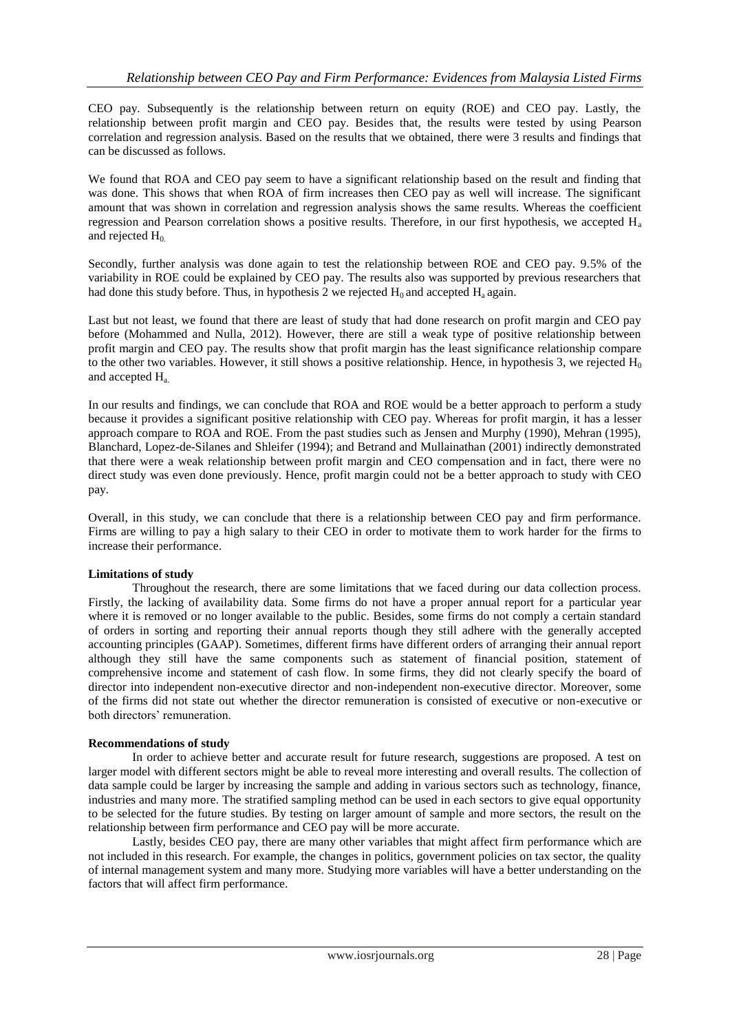CEO pay. Subsequently is the relationship between return on equity (ROE) and CEO pay. Lastly, the relationship between profit margin and CEO pay. Besides that, the results were tested by using Pearson correlation and regression analysis. Based on the results that we obtained, there were 3 results and findings that can be discussed as follows.

We found that ROA and CEO pay seem to have a significant relationship based on the result and finding that was done. This shows that when ROA of firm increases then CEO pay as well will increase. The significant amount that was shown in correlation and regression analysis shows the same results. Whereas the coefficient regression and Pearson correlation shows a positive results. Therefore, in our first hypothesis, we accepted H<sup>a</sup> and rejected  $H_0$ .

Secondly, further analysis was done again to test the relationship between ROE and CEO pay. 9.5% of the variability in ROE could be explained by CEO pay. The results also was supported by previous researchers that had done this study before. Thus, in hypothesis 2 we rejected  $H_0$  and accepted  $H_a$  again.

Last but not least, we found that there are least of study that had done research on profit margin and CEO pay before (Mohammed and Nulla, 2012). However, there are still a weak type of positive relationship between profit margin and CEO pay. The results show that profit margin has the least significance relationship compare to the other two variables. However, it still shows a positive relationship. Hence, in hypothesis 3, we rejected  $H_0$ and accepted Ha.

In our results and findings, we can conclude that ROA and ROE would be a better approach to perform a study because it provides a significant positive relationship with CEO pay. Whereas for profit margin, it has a lesser approach compare to ROA and ROE. From the past studies such as Jensen and Murphy (1990), Mehran (1995), Blanchard, Lopez-de-Silanes and Shleifer (1994); and Betrand and Mullainathan (2001) indirectly demonstrated that there were a weak relationship between profit margin and CEO compensation and in fact, there were no direct study was even done previously. Hence, profit margin could not be a better approach to study with CEO pay.

Overall, in this study, we can conclude that there is a relationship between CEO pay and firm performance. Firms are willing to pay a high salary to their CEO in order to motivate them to work harder for the firms to increase their performance.

#### **Limitations of study**

Throughout the research, there are some limitations that we faced during our data collection process. Firstly, the lacking of availability data. Some firms do not have a proper annual report for a particular year where it is removed or no longer available to the public. Besides, some firms do not comply a certain standard of orders in sorting and reporting their annual reports though they still adhere with the generally accepted accounting principles (GAAP). Sometimes, different firms have different orders of arranging their annual report although they still have the same components such as statement of financial position, statement of comprehensive income and statement of cash flow. In some firms, they did not clearly specify the board of director into independent non-executive director and non-independent non-executive director. Moreover, some of the firms did not state out whether the director remuneration is consisted of executive or non-executive or both directors' remuneration.

#### **Recommendations of study**

In order to achieve better and accurate result for future research, suggestions are proposed. A test on larger model with different sectors might be able to reveal more interesting and overall results. The collection of data sample could be larger by increasing the sample and adding in various sectors such as technology, finance, industries and many more. The stratified sampling method can be used in each sectors to give equal opportunity to be selected for the future studies. By testing on larger amount of sample and more sectors, the result on the relationship between firm performance and CEO pay will be more accurate.

Lastly, besides CEO pay, there are many other variables that might affect firm performance which are not included in this research. For example, the changes in politics, government policies on tax sector, the quality of internal management system and many more. Studying more variables will have a better understanding on the factors that will affect firm performance.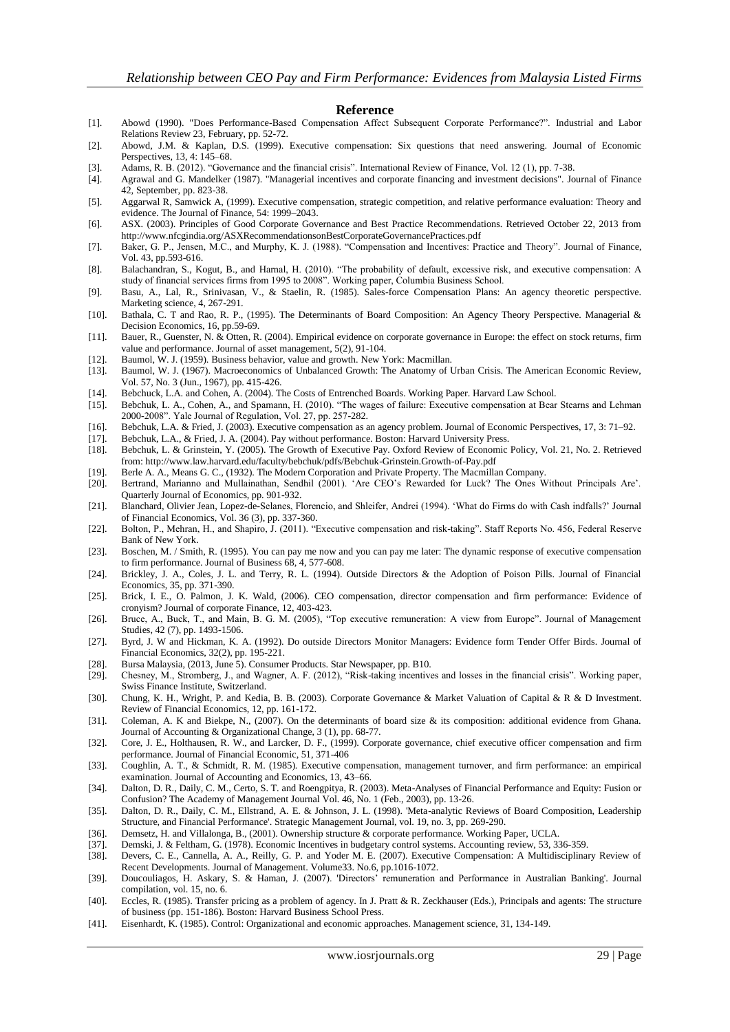#### **Reference**

- [1]. Abowd (1990). "Does Performance-Based Compensation Affect Subsequent Corporate Performance?". Industrial and Labor Relations Review 23, February, pp. 52-72.
- [2]. Abowd, J.M. & Kaplan, D.S. (1999). Executive compensation: Six questions that need answering. Journal of Economic Perspectives, 13, 4: 145–68.
- [3]. Adams, R. B. (2012). "Governance and the financial crisis". International Review of Finance, Vol. 12 (1), pp. 7-38.
- [4]. Agrawal and G. Mandelker (1987). "Managerial incentives and corporate financing and investment decisions". Journal of Finance 42, September, pp. 823-38.
- [5]. Aggarwal R, Samwick A, (1999). Executive compensation, strategic competition, and relative performance evaluation: Theory and evidence. The Journal of Finance, 54: 1999–2043.
- [6]. ASX. (2003). Principles of Good Corporate Governance and Best Practice Recommendations. Retrieved October 22, 2013 from <http://www.nfcgindia.org/ASXRecommendationsonBestCorporateGovernancePractices.pdf>
- [7]. Baker, G. P., Jensen, M.C., and Murphy, K. J. (1988). "Compensation and Incentives: Practice and Theory". Journal of Finance, Vol. 43, pp.593-616.
- [8]. Balachandran, S., Kogut, B., and Harnal, H. (2010). "The probability of default, excessive risk, and executive compensation: A study of financial services firms from 1995 to 2008". Working paper, Columbia Business School.
- [9]. Basu, A., Lal, R., Srinivasan, V., & Staelin, R. (1985). Sales-force Compensation Plans: An agency theoretic perspective. Marketing science, 4, 267-291.
- [10]. Bathala, C. T and Rao, R. P., (1995). The Determinants of Board Composition: An Agency Theory Perspective. Managerial & Decision Economics, 16, pp.59-69.
- [11]. [Bauer,](http://www.economistsonline.org/publications?facetAuthorFull=Bauer,+R.) R., [Guenster,](http://www.economistsonline.org/publications?facetAuthorFull=Guenster,+N.) N. & [Otten,](http://www.economistsonline.org/publications?facetAuthorFull=Otten,+R.) R. (2004). [Empirical evidence on corporate governance in Europe: the effect on stock returns, firm](http://www.economistsonline.org/publications?id=arno-unimaas-nl:oai:dare:19332)  [value and performance.](http://www.economistsonline.org/publications?id=arno-unimaas-nl:oai:dare:19332) [Journal of asset management,](http://www.economistsonline.org/publications?facetJrnal=Journal%20of%20asset%20management) 5(2), 91-104.
- [12]. Baumol, W. J. (1959). Business behavior, value and growth. New York: Macmillan.
- [13]. Baumol, W. J. (1967). Macroeconomics of Unbalanced Growth: The Anatomy of Urban Crisis. The American Economic Review, Vol. 57, No. 3 (Jun., 1967), pp. 415-426.
- [14]. Bebchuck, L.A. and Cohen, A. (2004). The Costs of Entrenched Boards. Working Paper. Harvard Law School.
- [15]. Bebchuk, L. A., Cohen, A., and Spamann, H. (2010). "The wages of failure: Executive compensation at Bear Stearns and Lehman 2000-2008". Yale Journal of Regulation, Vol. 27, pp. 257-282.
- [16]. Bebchuk, L.A. & Fried, J. (2003). Executive compensation as an agency problem. Journal of Economic Perspectives, 17, 3: 71–92.
- [17]. Bebchuk, L.A., & Fried, J. A. (2004). Pay without performance. Boston: Harvard University Press.<br>[18]. Bebchuk, L. & Grinstein, Y. (2005). The Growth of Executive Pay. Oxford Review of Economic [18]. Bebchuk, L. & Grinstein, Y. (2005). The Growth of Executive Pay. Oxford Review of Economic Policy, Vol. 21, No. 2. Retrieved from:<http://www.law.harvard.edu/faculty/bebchuk/pdfs/Bebchuk-Grinstein.Growth-of-Pay.pdf>
- [19]. Berle A. A., Means G. C., (1932). The Modern Corporation and Private Property. The Macmillan Company.
- [20]. Bertrand, Marianno and Mullainathan, Sendhil (2001). "Are CEO"s Rewarded for Luck? The Ones Without Principals Are". Quarterly Journal of Economics, pp. 901-932.
- [21]. Blanchard, Olivier Jean, Lopez-de-Selanes, Florencio, and Shleifer, Andrei (1994). "What do Firms do with Cash indfalls?" Journal of Financial Economics, Vol. 36 (3), pp. 337-360.
- [22]. Bolton, P., Mehran, H., and Shapiro, J. (2011). "Executive compensation and risk-taking". Staff Reports No. 456, Federal Reserve Bank of New York.
- [23]. Boschen, M. / Smith, R. (1995). You can pay me now and you can pay me later: The dynamic response of executive compensation to firm performance. Journal of Business 68, 4, 577-608.
- [24]. Brickley, J. A., Coles, J. L. and Terry, R. L. (1994). Outside Directors & the Adoption of Poison Pills. Journal of Financial Economics, 35, pp. 371-390.
- [25]. Brick, I. E., O. Palmon, J. K. Wald, (2006). CEO compensation, director compensation and firm performance: Evidence of cronyism? Journal of corporate Finance, 12, 403-423.
- [26]. Bruce, A., Buck, T., and Main, B. G. M. (2005), "Top executive remuneration: A view from Europe". Journal of Management Studies, 42 (7), pp. 1493-1506.
- [27]. Byrd, J. W and Hickman, K. A. (1992). Do outside Directors Monitor Managers: Evidence form Tender Offer Birds. Journal of Financial Economics, 32(2), pp. 195-221.
- [28]. Bursa Malaysia, (2013, June 5). Consumer Products. Star Newspaper, pp. B10.
- [29]. Chesney, M., Stromberg, J., and Wagner, A. F. (2012), "Risk-taking incentives and losses in the financial crisis". Working paper, Swiss Finance Institute, Switzerland.
- [30]. Chung, K. H., Wright, P. and Kedia, B. B. (2003). Corporate Governance & Market Valuation of Capital & R & D Investment. Review of Financial Economics, 12, pp. 161-172.
- [31]. Coleman, A. K and Biekpe, N., (2007). On the determinants of board size & its composition: additional evidence from Ghana. Journal of Accounting & Organizational Change, 3 (1), pp. 68-77.
- [32]. Core, J. E., Holthausen, R. W., and Larcker, D. F., (1999). Corporate governance, chief executive officer compensation and firm performance. Journal of Financial Economic, 51, 371-406
- [33]. Coughlin, A. T., & Schmidt, R. M. (1985). Executive compensation, management turnover, and firm performance: an empirical examination. Journal of Accounting and Economics, 13, 43–66.
- [34]. Dalton, D. R., Daily, C. M., Certo, S. T. and Roengpitya, R. (2003). Meta-Analyses of Financial Performance and Equity: Fusion or Confusion? The Academy of Management Journal Vol. 46, No. 1 (Feb., 2003), pp. 13-26.
- [35]. Dalton, D. R., Daily, C. M., Ellstrand, A. E. & Johnson, J. L. (1998). 'Meta-analytic Reviews of Board Composition, Leadership Structure, and Financial Performance'. Strategic Management Journal, vol. 19, no. 3, pp. 269-290.
- [36]. Demsetz, H. and Villalonga, B., (2001). Ownership structure & corporate performance. Working Paper, UCLA.
- [37]. Demski, J. & Feltham, G. (1978). Economic Incentives in budgetary control systems. Accounting review, 53, 336-359.
- [38]. Devers, C. E., Cannella, A. A., Reilly, G. P. and Yoder M. E. (2007). Executive Compensation: A Multidisciplinary Review of Recent Developments. Journal of Management. Volume33. No.6, pp.1016-1072.
- [39]. Doucouliagos, H. Askary, S. & Haman, J. (2007). 'Directors" remuneration and Performance in Australian Banking'. Journal compilation, vol. 15, no. 6.
- [40]. Eccles, R. (1985). Transfer pricing as a problem of agency. In J. Pratt & R. Zeckhauser (Eds.), Principals and agents: The structure of business (pp. 151-186). Boston: Harvard Business School Press.
- [41]. Eisenhardt, K. (1985). Control: Organizational and economic approaches. Management science, 31, 134-149.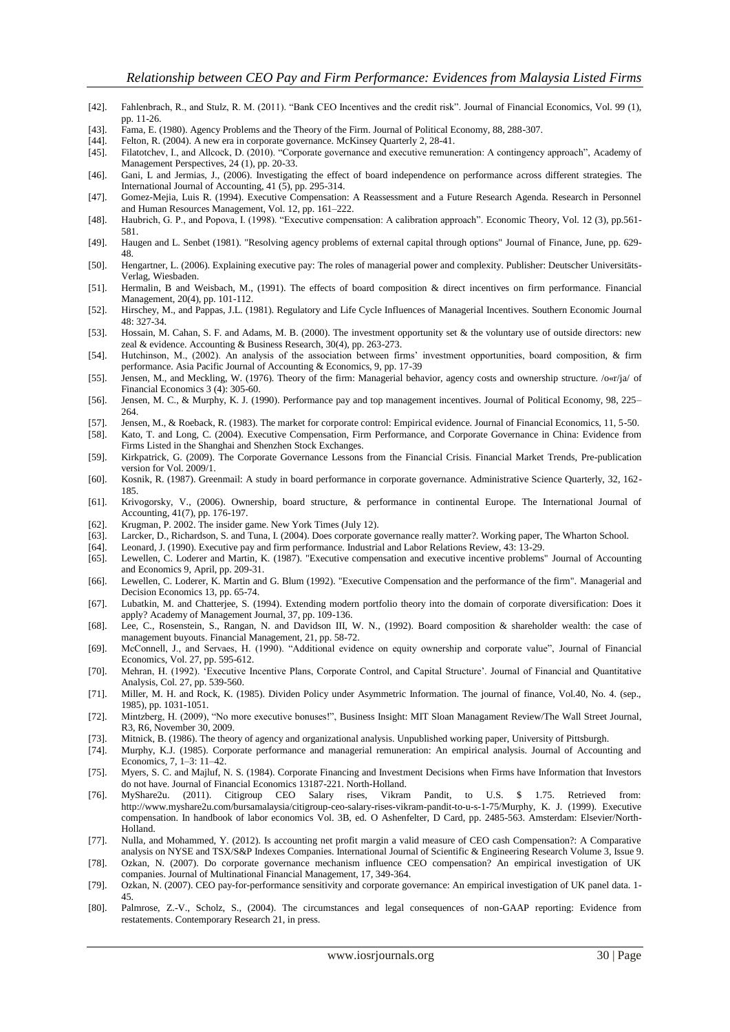- [42]. Fahlenbrach, R., and Stulz, R. M. (2011). "Bank CEO Incentives and the credit risk". Journal of Financial Economics, Vol. 99 (1), pp. 11-26.
- [43]. Fama, E. (1980). Agency Problems and the Theory of the Firm. Journal of Political Economy, 88, 288-307. [44]. Felton, R. (2004). A new era in corporate governance. McKinsey Quarterly 2, 28-41.
- Felton, R. (2004). A new era in corporate governance. McKinsey Quarterly 2, 28-41.
- [45]. Filatotchev, I., and Allcock, D. (2010). "Corporate governance and executive remuneration: A contingency approach", Academy of Management Perspectives, 24 (1), pp. 20-33.
- [46]. Gani, L and Jermias, J., (2006). Investigating the effect of board independence on performance across different strategies. The International Journal of Accounting, 41 (5), pp. 295-314.
- [47]. Gomez-Mejia, Luis R. (1994). Executive Compensation: A Reassessment and a Future Research Agenda. Research in Personnel and Human Resources Management, Vol. 12, pp. 161–222.
- [48]. Haubrich, G. P., and Popova, I. (1998). "Executive compensation: A calibration approach". Economic Theory, Vol. 12 (3), pp.561- 581.
- [49]. Haugen and L. Senbet (1981). "Resolving agency problems of external capital through options" Journal of Finance, June, pp. 629- 48.
- [50]. Hengartner, L. (2006). Explaining executive pay: The roles of managerial power and complexity. Publisher: Deutscher Universitäts-Verlag, Wiesbaden.
- [51]. Hermalin, B and Weisbach, M., (1991). The effects of board composition & direct incentives on firm performance. Financial Management, 20(4), pp. 101-112.
- [52]. Hirschey, M., and Pappas, J.L. (1981). Regulatory and Life Cycle Influences of Managerial Incentives. Southern Economic Journal 48: 327-34.
- [53]. Hossain, M. Cahan, S. F. and Adams, M. B. (2000). The investment opportunity set & the voluntary use of outside directors: new zeal & evidence. Accounting & Business Research, 30(4), pp. 263-273.
- [54]. Hutchinson, M., (2002). An analysis of the association between firms" investment opportunities, board composition, & firm performance. Asia Pacific Journal of Accounting & Economics, 9, pp. 17-39
- [55]. Jensen, M., and Meckling, W. (1976). Theory of the firm: Managerial behavior, agency costs and ownership structure. /o«r/ja/ of Financial Economics 3 (4): 305-60.
- [56]. Jensen, M. C., & Murphy, K. J. (1990). Performance pay and top management incentives. Journal of Political Economy, 98, 225– 264.
- [57]. Jensen, M., & Roeback, R. (1983). The market for corporate control: Empirical evidence. Journal of Financial Economics, 11, 5-50. [58]. Kato, T. and Long, C. (2004). Executive Compensation, Firm Performance, and Corporate Governance in China: Evidence from
- Firms Listed in the Shanghai and Shenzhen Stock Exchanges. [59]. Kirkpatrick, G. (2009). The Corporate Governance Lessons from the Financial Crisis. Financial Market Trends, Pre-publication version for Vol. 2009/1.
- [60]. Kosnik, R. (1987). Greenmail: A study in board performance in corporate governance. Administrative Science Quarterly, 32, 162- 185.
- [61]. Krivogorsky, V., (2006). Ownership, board structure, & performance in continental Europe. The International Journal of Accounting, 41(7), pp. 176-197.
- [62]. Krugman, P. 2002. The insider game. New York Times (July 12).
- [63]. Larcker, D., Richardson, S. and Tuna, I. (2004). Does corporate governance really matter?. Working paper, The Wharton School.
- [64]. Leonard, J. (1990). Executive pay and firm performance. Industrial and Labor Relations Review, 43: 13-29.
- [65]. Lewellen, C. Loderer and Martin, K. (1987). "Executive compensation and executive incentive problems" Journal of Accounting and Economics 9, April, pp. 209-31.
- [66]. Lewellen, C. Loderer, K. Martin and G. Blum (1992). "Executive Compensation and the performance of the firm". Managerial and Decision Economics 13, pp. 65-74.
- [67]. Lubatkin, M. and Chatterjee, S. (1994). Extending modern portfolio theory into the domain of corporate diversification: Does it apply? Academy of Management Journal, 37, pp. 109-136.
- [68]. Lee, C., Rosenstein, S., Rangan, N. and Davidson III, W. N., (1992). Board composition & shareholder wealth: the case of management buyouts. Financial Management, 21, pp. 58-72.
- [69]. McConnell, J., and Servaes, H. (1990). "Additional evidence on equity ownership and corporate value", Journal of Financial Economics, Vol. 27, pp. 595-612.
- [70]. Mehran, H. (1992). "Executive Incentive Plans, Corporate Control, and Capital Structure". Journal of Financial and Quantitative Analysis, Col. 27, pp. 539-560.
- [71]. Miller, M. H. and Rock, K. (1985). Dividen Policy under Asymmetric Information. The journal of finance, Vol.40, No. 4. (sep., 1985), pp. 1031-1051.
- [72]. Mintzberg, H. (2009), "No more executive bonuses!", Business Insight: MIT Sloan Managament Review/The Wall Street Journal, R3, R6, November 30, 2009.
- [73]. Mitnick, B. (1986). The theory of agency and organizational analysis. Unpublished working paper, University of Pittsburgh.
- [74]. Murphy, K.J. (1985). Corporate performance and managerial remuneration: An empirical analysis. Journal of Accounting and Economics, 7, 1–3: 11–42.
- [75]. Myers, S. C. and Majluf, N. S. (1984). Corporate Financing and Investment Decisions when Firms have Information that Investors do not have. Journal of Financial Economics 13187-221. North-Holland.
- [76]. MyShare2u. (2011). Citigroup CEO Salary rises, Vikram Pandit, to U.S. \$ 1.75. Retrieved from: [http://www.myshare2u.com/bursamalaysia/citigroup-ceo-salary-rises-vikram-pandit-to-u-s-1-75/M](http://www.myshare2u.com/bursamalaysia/citigroup-ceo-salary-rises-vikram-pandit-to-u-s-1-75/)urphy, K. J. (1999). Executive compensation. In handbook of labor economics Vol. 3B, ed. O Ashenfelter, D Card, pp. 2485-563. Amsterdam: Elsevier/North-Holland.
- [77]. Nulla, and Mohammed, Y. (2012). Is accounting net profit margin a valid measure of CEO cash Compensation?: A Comparative analysis on NYSE and TSX/S&P Indexes Companies. International Journal of Scientific & Engineering Research Volume 3, Issue 9.
- [78]. Ozkan, N. (2007). Do corporate governance mechanism influence CEO compensation? An empirical investigation of UK companies. Journal of Multinational Financial Management, 17, 349-364.
- [79]. Ozkan, N. (2007). CEO pay-for-performance sensitivity and corporate governance: An empirical investigation of UK panel data. 1- 45.
- [80]. Palmrose, Z.-V., Scholz, S., (2004). The circumstances and legal consequences of non-GAAP reporting: Evidence from restatements. Contemporary Research 21, in press.